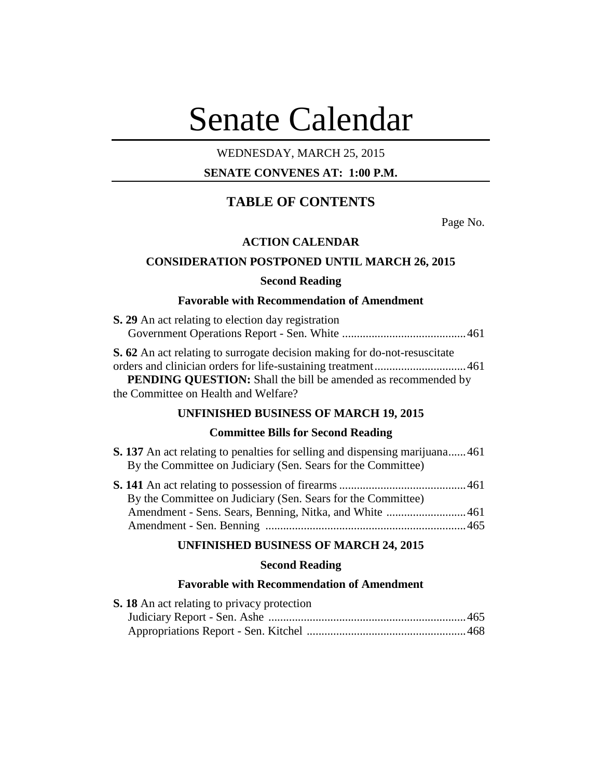# Senate Calendar

# WEDNESDAY, MARCH 25, 2015

# **SENATE CONVENES AT: 1:00 P.M.**

# **TABLE OF CONTENTS**

Page No.

# **ACTION CALENDAR**

# **CONSIDERATION POSTPONED UNTIL MARCH 26, 2015**

## **Second Reading**

# **Favorable with Recommendation of Amendment**

| <b>S. 29</b> An act relating to election day registration                        |             |
|----------------------------------------------------------------------------------|-------------|
|                                                                                  |             |
| <b>S. 62</b> An act relating to surrogate decision making for do-not-resuscitate |             |
| orders and eliminian enders for life systeming treatment                         | $\sqrt{21}$ |

orders and clinician orders for life-sustaining treatment...............................461 **PENDING QUESTION:** Shall the bill be amended as recommended by the Committee on Health and Welfare?

## **UNFINISHED BUSINESS OF MARCH 19, 2015**

# **Committee Bills for Second Reading**

|  |  |  |                                                              |  |  |  | <b>S. 137</b> An act relating to penalties for selling and dispensing marijuana461 |
|--|--|--|--------------------------------------------------------------|--|--|--|------------------------------------------------------------------------------------|
|  |  |  | By the Committee on Judiciary (Sen. Sears for the Committee) |  |  |  |                                                                                    |

| By the Committee on Judiciary (Sen. Sears for the Committee) |  |
|--------------------------------------------------------------|--|
|                                                              |  |
|                                                              |  |

## **UNFINISHED BUSINESS OF MARCH 24, 2015**

# **Second Reading**

# **Favorable with Recommendation of Amendment**

| <b>S. 18</b> An act relating to privacy protection |  |
|----------------------------------------------------|--|
|                                                    |  |
|                                                    |  |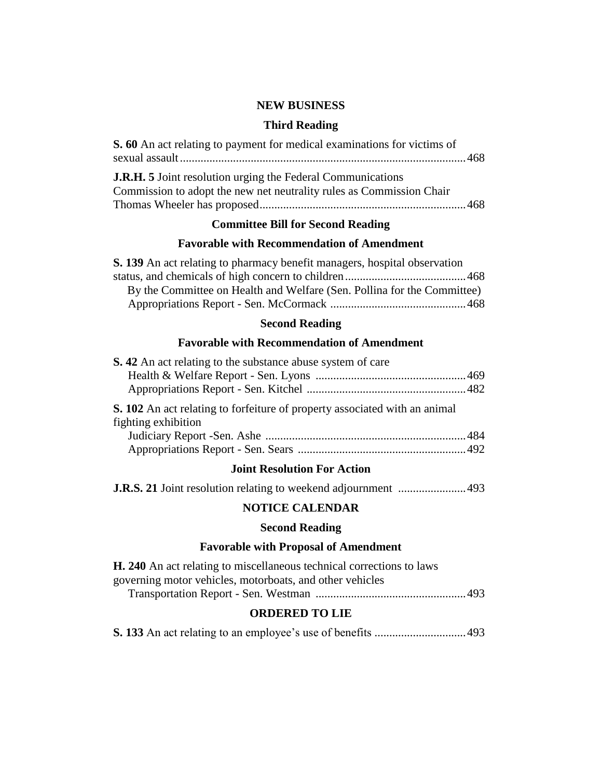# **NEW BUSINESS**

# **Third Reading**

| S. 60 An act relating to payment for medical examinations for victims of                                                                   |  |
|--------------------------------------------------------------------------------------------------------------------------------------------|--|
| <b>J.R.H. 5</b> Joint resolution urging the Federal Communications<br>Commission to adopt the new net neutrality rules as Commission Chair |  |

# **Committee Bill for Second Reading**

# **Favorable with Recommendation of Amendment**

| <b>S. 139</b> An act relating to pharmacy benefit managers, hospital observation |  |
|----------------------------------------------------------------------------------|--|
|                                                                                  |  |
| By the Committee on Health and Welfare (Sen. Pollina for the Committee)          |  |
|                                                                                  |  |
|                                                                                  |  |

# **Second Reading**

# **Favorable with Recommendation of Amendment**

| <b>S.</b> 42 An act relating to the substance abuse system of care                                       |  |
|----------------------------------------------------------------------------------------------------------|--|
|                                                                                                          |  |
|                                                                                                          |  |
| <b>S. 102</b> An act relating to forfeiture of property associated with an animal<br>fighting exhibition |  |
|                                                                                                          |  |
|                                                                                                          |  |
| <b>Joint Resolution For Action</b>                                                                       |  |
|                                                                                                          |  |
| <b>NOTICE CALENDAR</b>                                                                                   |  |

# **Second Reading**

# **Favorable with Proposal of Amendment**

| <b>H. 240</b> An act relating to miscellaneous technical corrections to laws |  |
|------------------------------------------------------------------------------|--|
| governing motor vehicles, motorboats, and other vehicles                     |  |
|                                                                              |  |

# **ORDERED TO LIE**

**S. 133** An act relating to an employee's use of benefits ...............................493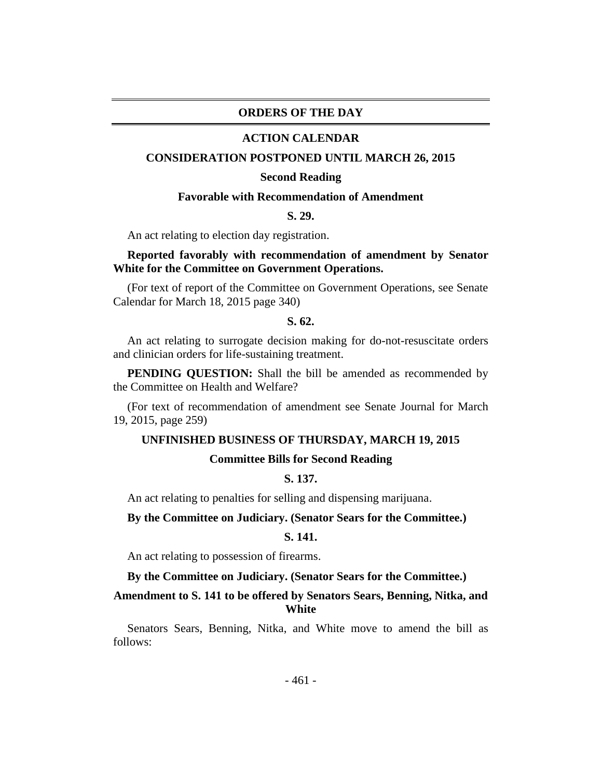# **ORDERS OF THE DAY**

#### **ACTION CALENDAR**

#### **CONSIDERATION POSTPONED UNTIL MARCH 26, 2015**

#### **Second Reading**

#### **Favorable with Recommendation of Amendment**

#### **S. 29.**

An act relating to election day registration.

# **Reported favorably with recommendation of amendment by Senator White for the Committee on Government Operations.**

(For text of report of the Committee on Government Operations, see Senate Calendar for March 18, 2015 page 340)

#### **S. 62.**

An act relating to surrogate decision making for do-not-resuscitate orders and clinician orders for life-sustaining treatment.

**PENDING QUESTION:** Shall the bill be amended as recommended by the Committee on Health and Welfare?

(For text of recommendation of amendment see Senate Journal for March 19, 2015, page 259)

#### **UNFINISHED BUSINESS OF THURSDAY, MARCH 19, 2015**

## **Committee Bills for Second Reading**

# **S. 137.**

An act relating to penalties for selling and dispensing marijuana.

#### **By the Committee on Judiciary. (Senator Sears for the Committee.)**

# **S. 141.**

An act relating to possession of firearms.

**By the Committee on Judiciary. (Senator Sears for the Committee.)**

# **Amendment to S. 141 to be offered by Senators Sears, Benning, Nitka, and White**

Senators Sears, Benning, Nitka, and White move to amend the bill as follows: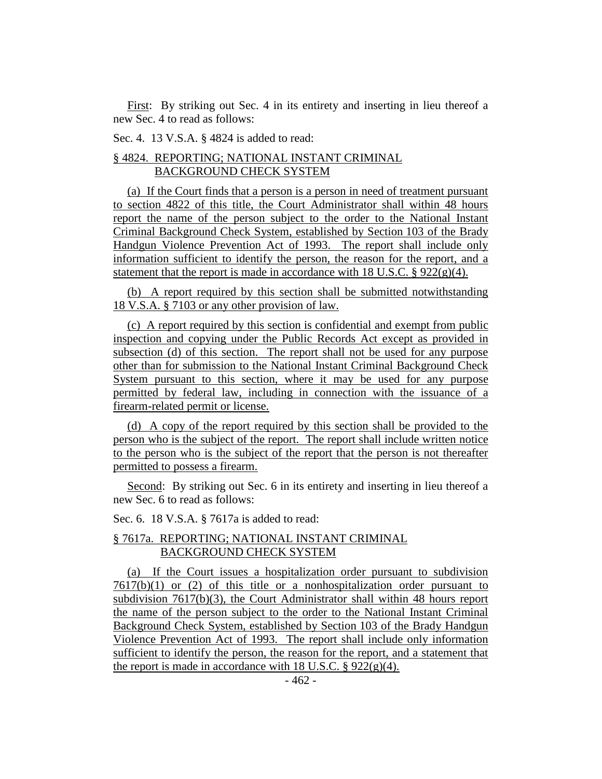First: By striking out Sec. 4 in its entirety and inserting in lieu thereof a new Sec. 4 to read as follows:

Sec. 4. 13 V.S.A. § 4824 is added to read:

# § 4824. REPORTING; NATIONAL INSTANT CRIMINAL BACKGROUND CHECK SYSTEM

(a) If the Court finds that a person is a person in need of treatment pursuant to section 4822 of this title, the Court Administrator shall within 48 hours report the name of the person subject to the order to the National Instant Criminal Background Check System, established by Section 103 of the Brady Handgun Violence Prevention Act of 1993. The report shall include only information sufficient to identify the person, the reason for the report, and a statement that the report is made in accordance with  $18$  U.S.C.  $\S$  922(g)(4).

(b) A report required by this section shall be submitted notwithstanding 18 V.S.A. § 7103 or any other provision of law.

(c) A report required by this section is confidential and exempt from public inspection and copying under the Public Records Act except as provided in subsection (d) of this section. The report shall not be used for any purpose other than for submission to the National Instant Criminal Background Check System pursuant to this section, where it may be used for any purpose permitted by federal law, including in connection with the issuance of a firearm-related permit or license.

(d) A copy of the report required by this section shall be provided to the person who is the subject of the report. The report shall include written notice to the person who is the subject of the report that the person is not thereafter permitted to possess a firearm.

Second: By striking out Sec. 6 in its entirety and inserting in lieu thereof a new Sec. 6 to read as follows:

Sec. 6. 18 V.S.A. § 7617a is added to read:

# § 7617a. REPORTING; NATIONAL INSTANT CRIMINAL BACKGROUND CHECK SYSTEM

(a) If the Court issues a hospitalization order pursuant to subdivision  $7617(b)(1)$  or (2) of this title or a nonhospitalization order pursuant to subdivision 7617(b)(3), the Court Administrator shall within 48 hours report the name of the person subject to the order to the National Instant Criminal Background Check System, established by Section 103 of the Brady Handgun Violence Prevention Act of 1993. The report shall include only information sufficient to identify the person, the reason for the report, and a statement that the report is made in accordance with 18 U.S.C.  $\S 922(g)(4)$ .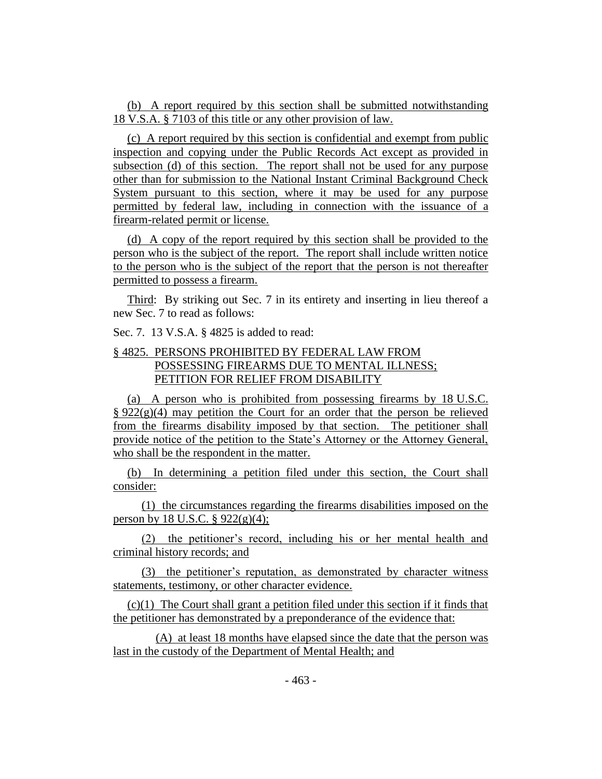(b) A report required by this section shall be submitted notwithstanding 18 V.S.A. § 7103 of this title or any other provision of law.

(c) A report required by this section is confidential and exempt from public inspection and copying under the Public Records Act except as provided in subsection (d) of this section. The report shall not be used for any purpose other than for submission to the National Instant Criminal Background Check System pursuant to this section, where it may be used for any purpose permitted by federal law, including in connection with the issuance of a firearm-related permit or license.

(d) A copy of the report required by this section shall be provided to the person who is the subject of the report. The report shall include written notice to the person who is the subject of the report that the person is not thereafter permitted to possess a firearm.

Third: By striking out Sec. 7 in its entirety and inserting in lieu thereof a new Sec. 7 to read as follows:

Sec. 7. 13 V.S.A. § 4825 is added to read:

# § 4825. PERSONS PROHIBITED BY FEDERAL LAW FROM POSSESSING FIREARMS DUE TO MENTAL ILLNESS; PETITION FOR RELIEF FROM DISABILITY

(a) A person who is prohibited from possessing firearms by 18 U.S.C.  $\S 922(g)(4)$  may petition the Court for an order that the person be relieved from the firearms disability imposed by that section. The petitioner shall provide notice of the petition to the State's Attorney or the Attorney General, who shall be the respondent in the matter.

(b) In determining a petition filed under this section, the Court shall consider:

(1) the circumstances regarding the firearms disabilities imposed on the person by 18 U.S.C.  $\S 922(g)(4)$ ;

(2) the petitioner's record, including his or her mental health and criminal history records; and

(3) the petitioner's reputation, as demonstrated by character witness statements, testimony, or other character evidence.

(c)(1) The Court shall grant a petition filed under this section if it finds that the petitioner has demonstrated by a preponderance of the evidence that:

(A) at least 18 months have elapsed since the date that the person was last in the custody of the Department of Mental Health; and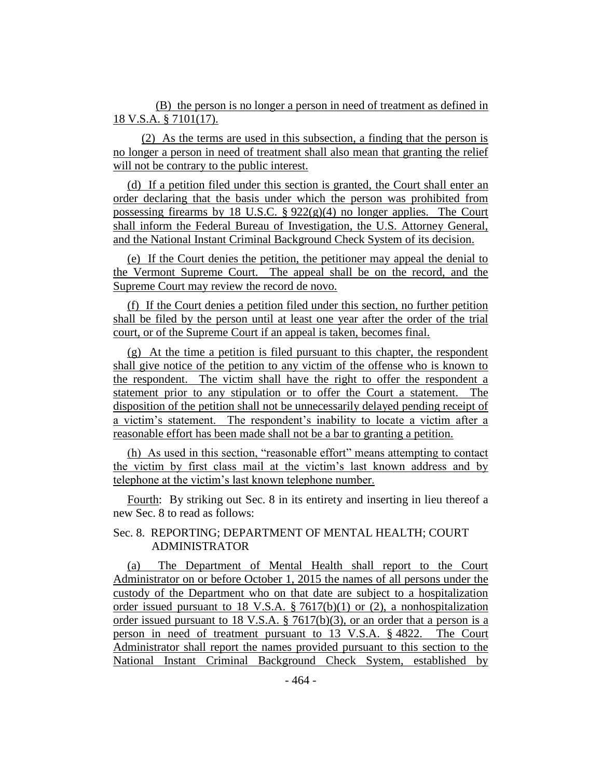(B) the person is no longer a person in need of treatment as defined in 18 V.S.A. § 7101(17).

(2) As the terms are used in this subsection, a finding that the person is no longer a person in need of treatment shall also mean that granting the relief will not be contrary to the public interest.

(d) If a petition filed under this section is granted, the Court shall enter an order declaring that the basis under which the person was prohibited from possessing firearms by 18 U.S.C.  $\S 922(g)(4)$  no longer applies. The Court shall inform the Federal Bureau of Investigation, the U.S. Attorney General, and the National Instant Criminal Background Check System of its decision.

(e) If the Court denies the petition, the petitioner may appeal the denial to the Vermont Supreme Court. The appeal shall be on the record, and the Supreme Court may review the record de novo.

(f) If the Court denies a petition filed under this section, no further petition shall be filed by the person until at least one year after the order of the trial court, or of the Supreme Court if an appeal is taken, becomes final.

(g) At the time a petition is filed pursuant to this chapter, the respondent shall give notice of the petition to any victim of the offense who is known to the respondent. The victim shall have the right to offer the respondent a statement prior to any stipulation or to offer the Court a statement. The disposition of the petition shall not be unnecessarily delayed pending receipt of a victim's statement. The respondent's inability to locate a victim after a reasonable effort has been made shall not be a bar to granting a petition.

(h) As used in this section, "reasonable effort" means attempting to contact the victim by first class mail at the victim's last known address and by telephone at the victim's last known telephone number.

Fourth: By striking out Sec. 8 in its entirety and inserting in lieu thereof a new Sec. 8 to read as follows:

# Sec. 8. REPORTING; DEPARTMENT OF MENTAL HEALTH; COURT ADMINISTRATOR

(a) The Department of Mental Health shall report to the Court Administrator on or before October 1, 2015 the names of all persons under the custody of the Department who on that date are subject to a hospitalization order issued pursuant to 18 V.S.A. § 7617(b)(1) or (2), a nonhospitalization order issued pursuant to 18 V.S.A. § 7617(b)(3), or an order that a person is a person in need of treatment pursuant to 13 V.S.A. § 4822. The Court Administrator shall report the names provided pursuant to this section to the National Instant Criminal Background Check System, established by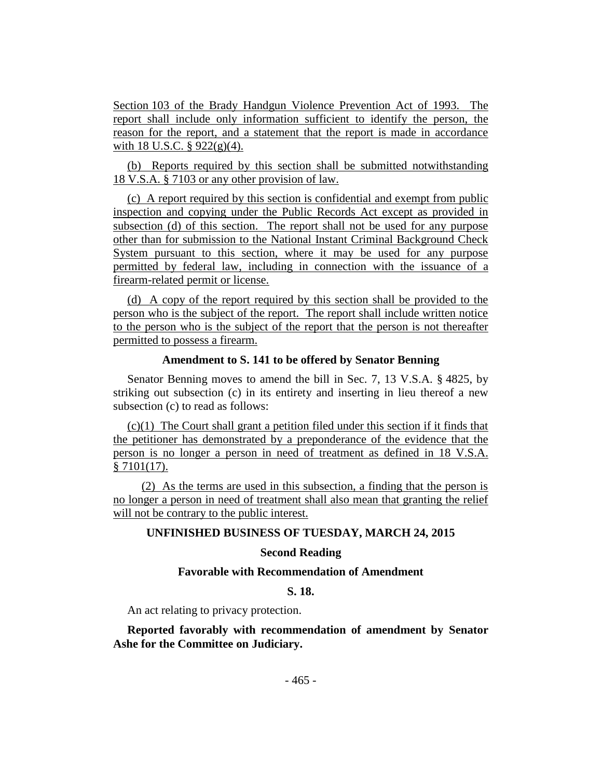Section 103 of the Brady Handgun Violence Prevention Act of 1993. The report shall include only information sufficient to identify the person, the reason for the report, and a statement that the report is made in accordance with 18 U.S.C.  $\S$  922(g)(4).

(b) Reports required by this section shall be submitted notwithstanding 18 V.S.A. § 7103 or any other provision of law.

(c) A report required by this section is confidential and exempt from public inspection and copying under the Public Records Act except as provided in subsection (d) of this section. The report shall not be used for any purpose other than for submission to the National Instant Criminal Background Check System pursuant to this section, where it may be used for any purpose permitted by federal law, including in connection with the issuance of a firearm-related permit or license.

(d) A copy of the report required by this section shall be provided to the person who is the subject of the report. The report shall include written notice to the person who is the subject of the report that the person is not thereafter permitted to possess a firearm.

## **Amendment to S. 141 to be offered by Senator Benning**

Senator Benning moves to amend the bill in Sec. 7, 13 V.S.A. § 4825, by striking out subsection (c) in its entirety and inserting in lieu thereof a new subsection (c) to read as follows:

(c)(1) The Court shall grant a petition filed under this section if it finds that the petitioner has demonstrated by a preponderance of the evidence that the person is no longer a person in need of treatment as defined in 18 V.S.A. § 7101(17).

(2) As the terms are used in this subsection, a finding that the person is no longer a person in need of treatment shall also mean that granting the relief will not be contrary to the public interest.

## **UNFINISHED BUSINESS OF TUESDAY, MARCH 24, 2015**

# **Second Reading**

#### **Favorable with Recommendation of Amendment**

# **S. 18.**

An act relating to privacy protection.

**Reported favorably with recommendation of amendment by Senator Ashe for the Committee on Judiciary.**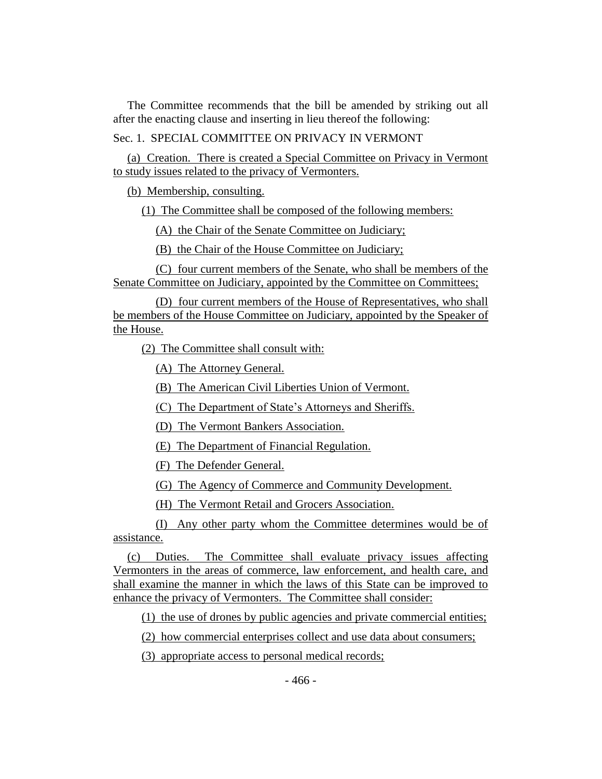The Committee recommends that the bill be amended by striking out all after the enacting clause and inserting in lieu thereof the following:

Sec. 1. SPECIAL COMMITTEE ON PRIVACY IN VERMONT

(a) Creation. There is created a Special Committee on Privacy in Vermont to study issues related to the privacy of Vermonters.

(b) Membership, consulting.

(1) The Committee shall be composed of the following members:

(A) the Chair of the Senate Committee on Judiciary;

(B) the Chair of the House Committee on Judiciary;

(C) four current members of the Senate, who shall be members of the Senate Committee on Judiciary, appointed by the Committee on Committees;

(D) four current members of the House of Representatives, who shall be members of the House Committee on Judiciary, appointed by the Speaker of the House.

(2) The Committee shall consult with:

(A) The Attorney General.

(B) The American Civil Liberties Union of Vermont.

(C) The Department of State's Attorneys and Sheriffs.

(D) The Vermont Bankers Association.

(E) The Department of Financial Regulation.

(F) The Defender General.

(G) The Agency of Commerce and Community Development.

(H) The Vermont Retail and Grocers Association.

(I) Any other party whom the Committee determines would be of assistance.

(c) Duties. The Committee shall evaluate privacy issues affecting Vermonters in the areas of commerce, law enforcement, and health care, and shall examine the manner in which the laws of this State can be improved to enhance the privacy of Vermonters. The Committee shall consider:

(1) the use of drones by public agencies and private commercial entities;

(2) how commercial enterprises collect and use data about consumers;

(3) appropriate access to personal medical records;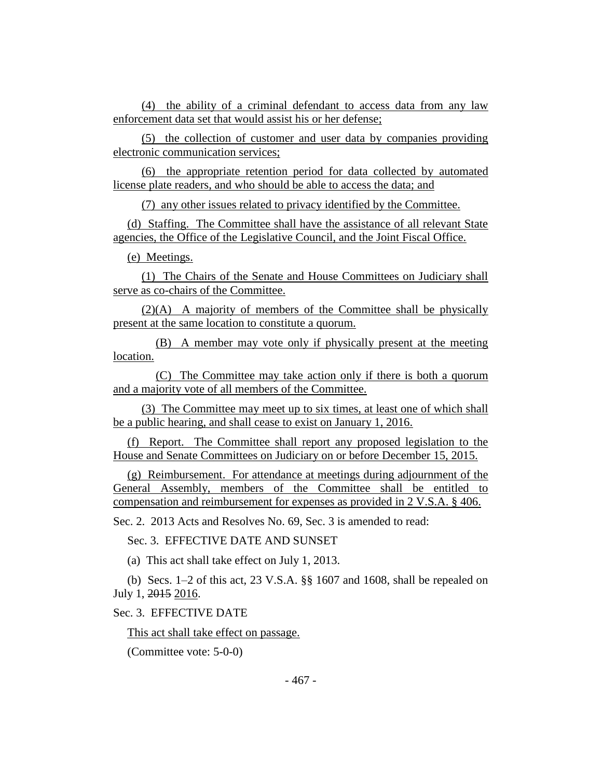(4) the ability of a criminal defendant to access data from any law enforcement data set that would assist his or her defense;

(5) the collection of customer and user data by companies providing electronic communication services;

(6) the appropriate retention period for data collected by automated license plate readers, and who should be able to access the data; and

(7) any other issues related to privacy identified by the Committee.

(d) Staffing. The Committee shall have the assistance of all relevant State agencies, the Office of the Legislative Council, and the Joint Fiscal Office.

(e) Meetings.

(1) The Chairs of the Senate and House Committees on Judiciary shall serve as co-chairs of the Committee.

(2)(A) A majority of members of the Committee shall be physically present at the same location to constitute a quorum.

(B) A member may vote only if physically present at the meeting location.

(C) The Committee may take action only if there is both a quorum and a majority vote of all members of the Committee.

(3) The Committee may meet up to six times, at least one of which shall be a public hearing, and shall cease to exist on January 1, 2016.

(f) Report. The Committee shall report any proposed legislation to the House and Senate Committees on Judiciary on or before December 15, 2015.

(g) Reimbursement. For attendance at meetings during adjournment of the General Assembly, members of the Committee shall be entitled to compensation and reimbursement for expenses as provided in 2 V.S.A. § 406.

Sec. 2. 2013 Acts and Resolves No. 69, Sec. 3 is amended to read:

Sec. 3. EFFECTIVE DATE AND SUNSET

(a) This act shall take effect on July 1, 2013.

(b) Secs. 1–2 of this act, 23 V.S.A. §§ 1607 and 1608, shall be repealed on July 1, 2015 2016.

Sec. 3. EFFECTIVE DATE

This act shall take effect on passage.

(Committee vote: 5-0-0)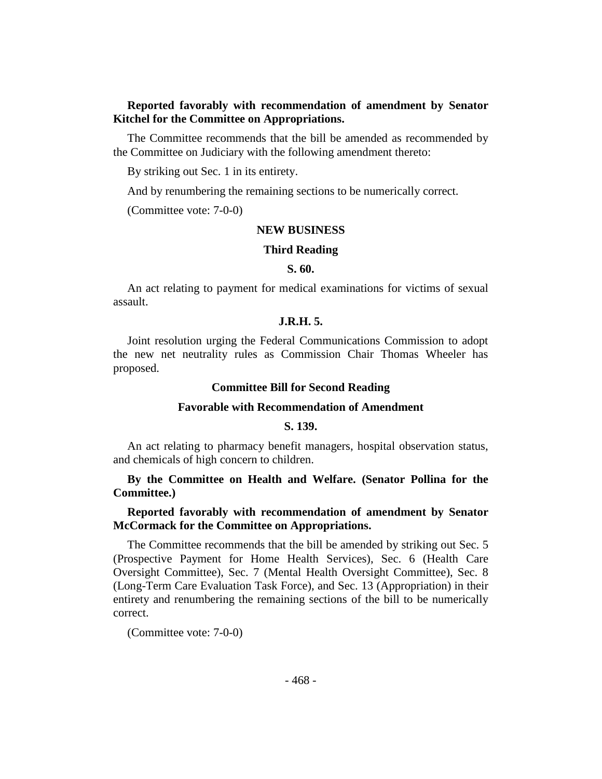# **Reported favorably with recommendation of amendment by Senator Kitchel for the Committee on Appropriations.**

The Committee recommends that the bill be amended as recommended by the Committee on Judiciary with the following amendment thereto:

By striking out Sec. 1 in its entirety.

And by renumbering the remaining sections to be numerically correct.

(Committee vote: 7-0-0)

# **NEW BUSINESS**

#### **Third Reading**

#### **S. 60.**

An act relating to payment for medical examinations for victims of sexual assault.

# **J.R.H. 5.**

Joint resolution urging the Federal Communications Commission to adopt the new net neutrality rules as Commission Chair Thomas Wheeler has proposed.

#### **Committee Bill for Second Reading**

#### **Favorable with Recommendation of Amendment**

#### **S. 139.**

An act relating to pharmacy benefit managers, hospital observation status, and chemicals of high concern to children.

# **By the Committee on Health and Welfare. (Senator Pollina for the Committee.)**

## **Reported favorably with recommendation of amendment by Senator McCormack for the Committee on Appropriations.**

The Committee recommends that the bill be amended by striking out Sec. 5 (Prospective Payment for Home Health Services), Sec. 6 (Health Care Oversight Committee), Sec. 7 (Mental Health Oversight Committee), Sec. 8 (Long-Term Care Evaluation Task Force), and Sec. 13 (Appropriation) in their entirety and renumbering the remaining sections of the bill to be numerically correct.

(Committee vote: 7-0-0)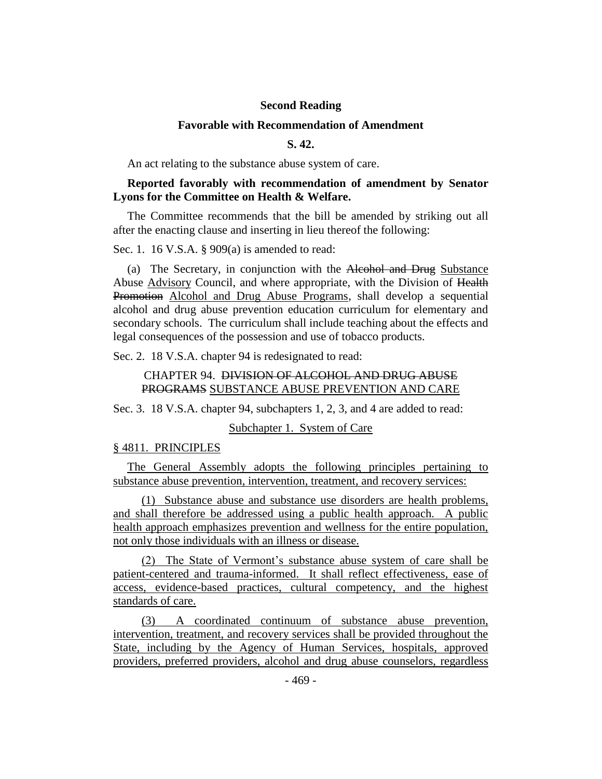# **Second Reading**

#### **Favorable with Recommendation of Amendment**

**S. 42.**

An act relating to the substance abuse system of care.

# **Reported favorably with recommendation of amendment by Senator Lyons for the Committee on Health & Welfare.**

The Committee recommends that the bill be amended by striking out all after the enacting clause and inserting in lieu thereof the following:

Sec. 1. 16 V.S.A. § 909(a) is amended to read:

(a) The Secretary, in conjunction with the Alcohol and Drug Substance Abuse Advisory Council, and where appropriate, with the Division of Health Promotion Alcohol and Drug Abuse Programs, shall develop a sequential alcohol and drug abuse prevention education curriculum for elementary and secondary schools. The curriculum shall include teaching about the effects and legal consequences of the possession and use of tobacco products.

Sec. 2. 18 V.S.A. chapter 94 is redesignated to read:

# CHAPTER 94. DIVISION OF ALCOHOL AND DRUG ABUSE PROGRAMS SUBSTANCE ABUSE PREVENTION AND CARE

Sec. 3. 18 V.S.A. chapter 94, subchapters 1, 2, 3, and 4 are added to read:

Subchapter 1. System of Care

#### § 4811. PRINCIPLES

The General Assembly adopts the following principles pertaining to substance abuse prevention, intervention, treatment, and recovery services:

(1) Substance abuse and substance use disorders are health problems, and shall therefore be addressed using a public health approach. A public health approach emphasizes prevention and wellness for the entire population, not only those individuals with an illness or disease.

(2) The State of Vermont's substance abuse system of care shall be patient-centered and trauma-informed. It shall reflect effectiveness, ease of access, evidence-based practices, cultural competency, and the highest standards of care.

(3) A coordinated continuum of substance abuse prevention, intervention, treatment, and recovery services shall be provided throughout the State, including by the Agency of Human Services, hospitals, approved providers, preferred providers, alcohol and drug abuse counselors, regardless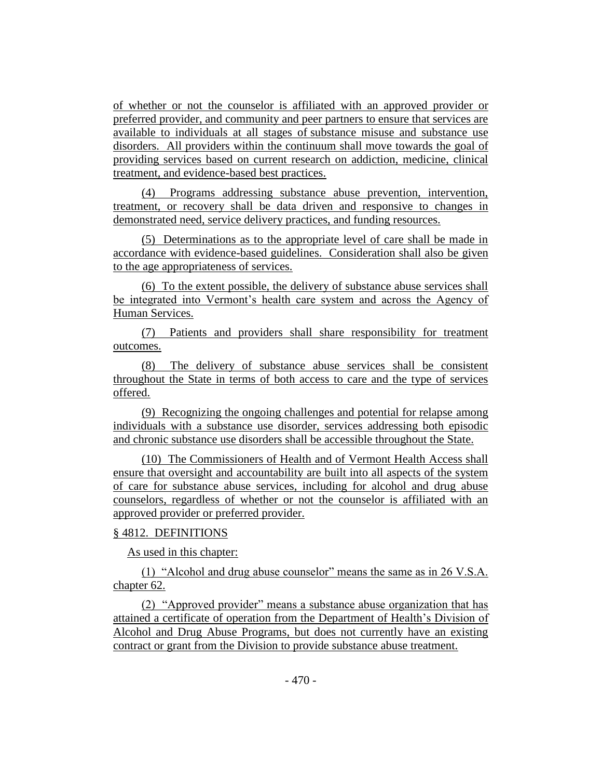of whether or not the counselor is affiliated with an approved provider or preferred provider, and community and peer partners to ensure that services are available to individuals at all stages of substance misuse and substance use disorders. All providers within the continuum shall move towards the goal of providing services based on current research on addiction, medicine, clinical treatment, and evidence-based best practices.

(4) Programs addressing substance abuse prevention, intervention, treatment, or recovery shall be data driven and responsive to changes in demonstrated need, service delivery practices, and funding resources.

(5) Determinations as to the appropriate level of care shall be made in accordance with evidence-based guidelines. Consideration shall also be given to the age appropriateness of services.

(6) To the extent possible, the delivery of substance abuse services shall be integrated into Vermont's health care system and across the Agency of Human Services.

(7) Patients and providers shall share responsibility for treatment outcomes.

(8) The delivery of substance abuse services shall be consistent throughout the State in terms of both access to care and the type of services offered.

(9) Recognizing the ongoing challenges and potential for relapse among individuals with a substance use disorder, services addressing both episodic and chronic substance use disorders shall be accessible throughout the State.

(10) The Commissioners of Health and of Vermont Health Access shall ensure that oversight and accountability are built into all aspects of the system of care for substance abuse services, including for alcohol and drug abuse counselors, regardless of whether or not the counselor is affiliated with an approved provider or preferred provider.

# § 4812. DEFINITIONS

As used in this chapter:

(1) "Alcohol and drug abuse counselor" means the same as in 26 V.S.A. chapter 62.

(2) "Approved provider" means a substance abuse organization that has attained a certificate of operation from the Department of Health's Division of Alcohol and Drug Abuse Programs, but does not currently have an existing contract or grant from the Division to provide substance abuse treatment.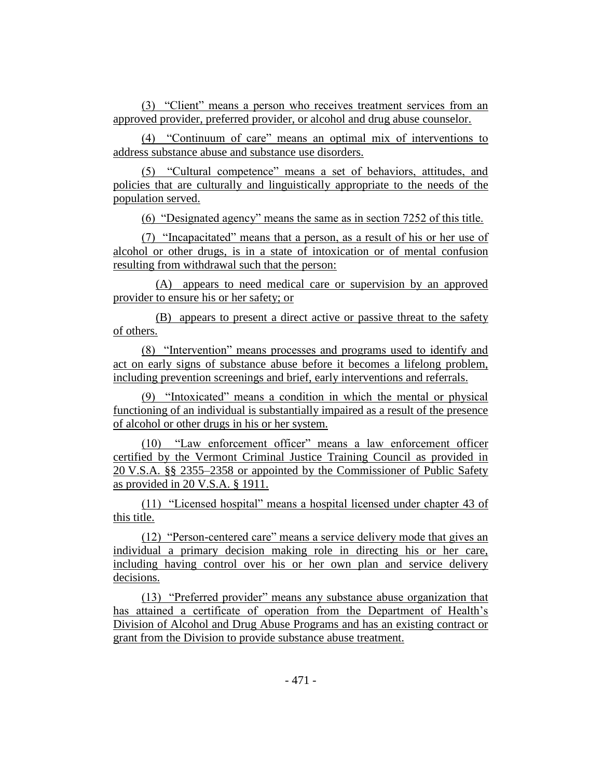(3) "Client" means a person who receives treatment services from an approved provider, preferred provider, or alcohol and drug abuse counselor.

(4) "Continuum of care" means an optimal mix of interventions to address substance abuse and substance use disorders.

(5) "Cultural competence" means a set of behaviors, attitudes, and policies that are culturally and linguistically appropriate to the needs of the population served.

(6) "Designated agency" means the same as in section 7252 of this title.

(7) "Incapacitated" means that a person, as a result of his or her use of alcohol or other drugs, is in a state of intoxication or of mental confusion resulting from withdrawal such that the person:

(A) appears to need medical care or supervision by an approved provider to ensure his or her safety; or

(B) appears to present a direct active or passive threat to the safety of others.

(8) "Intervention" means processes and programs used to identify and act on early signs of substance abuse before it becomes a lifelong problem, including prevention screenings and brief, early interventions and referrals.

(9) "Intoxicated" means a condition in which the mental or physical functioning of an individual is substantially impaired as a result of the presence of alcohol or other drugs in his or her system.

(10) "Law enforcement officer" means a law enforcement officer certified by the Vermont Criminal Justice Training Council as provided in 20 V.S.A. §§ 2355–2358 or appointed by the Commissioner of Public Safety as provided in 20 V.S.A. § 1911.

(11) "Licensed hospital" means a hospital licensed under chapter 43 of this title.

(12) "Person-centered care" means a service delivery mode that gives an individual a primary decision making role in directing his or her care, including having control over his or her own plan and service delivery decisions.

(13) "Preferred provider" means any substance abuse organization that has attained a certificate of operation from the Department of Health's Division of Alcohol and Drug Abuse Programs and has an existing contract or grant from the Division to provide substance abuse treatment.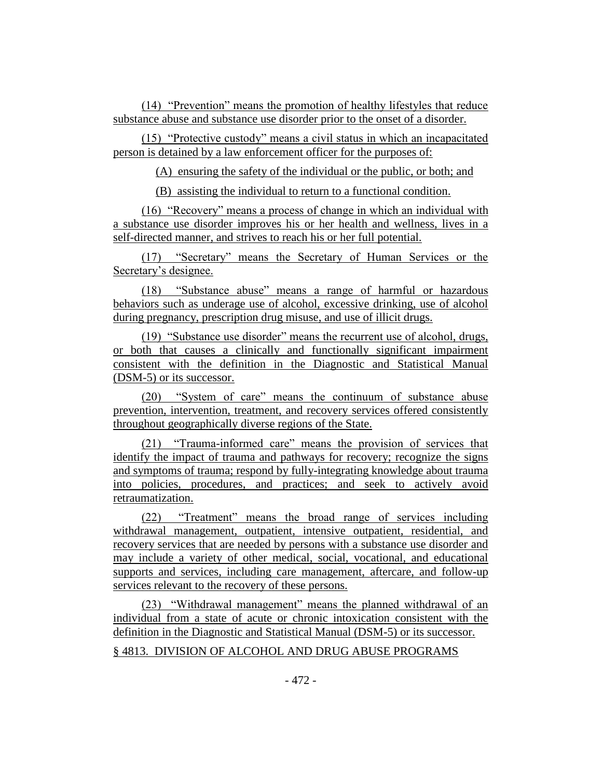(14) "Prevention" means the promotion of healthy lifestyles that reduce substance abuse and substance use disorder prior to the onset of a disorder.

(15) "Protective custody" means a civil status in which an incapacitated person is detained by a law enforcement officer for the purposes of:

(A) ensuring the safety of the individual or the public, or both; and

(B) assisting the individual to return to a functional condition.

(16) "Recovery" means a process of change in which an individual with a substance use disorder improves his or her health and wellness, lives in a self-directed manner, and strives to reach his or her full potential.

(17) "Secretary" means the Secretary of Human Services or the Secretary's designee.

(18) "Substance abuse" means a range of harmful or hazardous behaviors such as underage use of alcohol, excessive drinking, use of alcohol during pregnancy, prescription drug misuse, and use of illicit drugs.

(19) "Substance use disorder" means the recurrent use of alcohol, drugs, or both that causes a clinically and functionally significant impairment consistent with the definition in the Diagnostic and Statistical Manual (DSM-5) or its successor.

(20) "System of care" means the continuum of substance abuse prevention, intervention, treatment, and recovery services offered consistently throughout geographically diverse regions of the State.

(21) "Trauma-informed care" means the provision of services that identify the impact of trauma and pathways for recovery; recognize the signs and symptoms of trauma; respond by fully-integrating knowledge about trauma into policies, procedures, and practices; and seek to actively avoid retraumatization.

(22) "Treatment" means the broad range of services including withdrawal management, outpatient, intensive outpatient, residential, and recovery services that are needed by persons with a substance use disorder and may include a variety of other medical, social, vocational, and educational supports and services, including care management, aftercare, and follow-up services relevant to the recovery of these persons.

(23) "Withdrawal management" means the planned withdrawal of an individual from a state of acute or chronic intoxication consistent with the definition in the Diagnostic and Statistical Manual (DSM-5) or its successor.

# § 4813. DIVISION OF ALCOHOL AND DRUG ABUSE PROGRAMS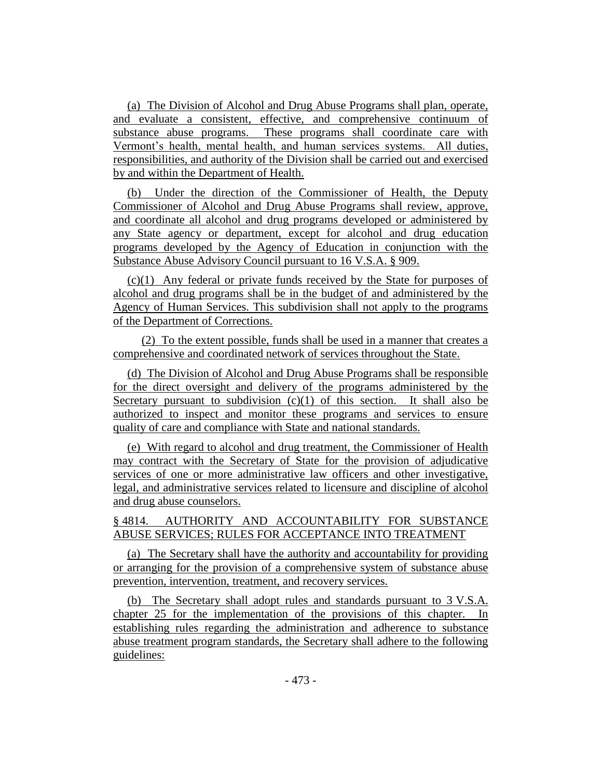(a) The Division of Alcohol and Drug Abuse Programs shall plan, operate, and evaluate a consistent, effective, and comprehensive continuum of substance abuse programs. These programs shall coordinate care with Vermont's health, mental health, and human services systems. All duties, responsibilities, and authority of the Division shall be carried out and exercised by and within the Department of Health.

(b) Under the direction of the Commissioner of Health, the Deputy Commissioner of Alcohol and Drug Abuse Programs shall review, approve, and coordinate all alcohol and drug programs developed or administered by any State agency or department, except for alcohol and drug education programs developed by the Agency of Education in conjunction with the Substance Abuse Advisory Council pursuant to 16 V.S.A. § 909.

(c)(1) Any federal or private funds received by the State for purposes of alcohol and drug programs shall be in the budget of and administered by the Agency of Human Services. This subdivision shall not apply to the programs of the Department of Corrections.

(2) To the extent possible, funds shall be used in a manner that creates a comprehensive and coordinated network of services throughout the State.

(d) The Division of Alcohol and Drug Abuse Programs shall be responsible for the direct oversight and delivery of the programs administered by the Secretary pursuant to subdivision  $(c)(1)$  of this section. It shall also be authorized to inspect and monitor these programs and services to ensure quality of care and compliance with State and national standards.

(e) With regard to alcohol and drug treatment, the Commissioner of Health may contract with the Secretary of State for the provision of adjudicative services of one or more administrative law officers and other investigative, legal, and administrative services related to licensure and discipline of alcohol and drug abuse counselors.

# § 4814. AUTHORITY AND ACCOUNTABILITY FOR SUBSTANCE ABUSE SERVICES; RULES FOR ACCEPTANCE INTO TREATMENT

(a) The Secretary shall have the authority and accountability for providing or arranging for the provision of a comprehensive system of substance abuse prevention, intervention, treatment, and recovery services.

(b) The Secretary shall adopt rules and standards pursuant to 3 V.S.A. chapter 25 for the implementation of the provisions of this chapter. In establishing rules regarding the administration and adherence to substance abuse treatment program standards, the Secretary shall adhere to the following guidelines: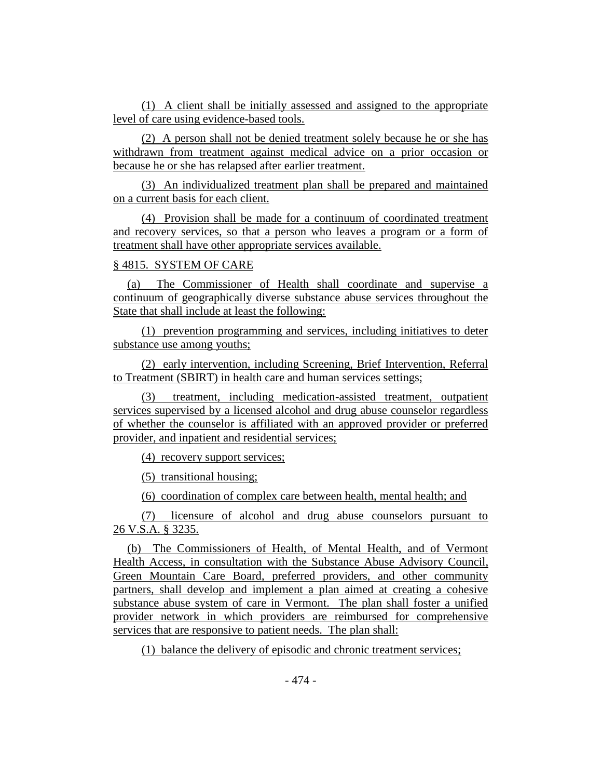(1) A client shall be initially assessed and assigned to the appropriate level of care using evidence-based tools.

(2) A person shall not be denied treatment solely because he or she has withdrawn from treatment against medical advice on a prior occasion or because he or she has relapsed after earlier treatment.

(3) An individualized treatment plan shall be prepared and maintained on a current basis for each client.

(4) Provision shall be made for a continuum of coordinated treatment and recovery services, so that a person who leaves a program or a form of treatment shall have other appropriate services available.

# § 4815. SYSTEM OF CARE

(a) The Commissioner of Health shall coordinate and supervise a continuum of geographically diverse substance abuse services throughout the State that shall include at least the following:

(1) prevention programming and services, including initiatives to deter substance use among youths;

(2) early intervention, including Screening, Brief Intervention, Referral to Treatment (SBIRT) in health care and human services settings;

(3) treatment, including medication-assisted treatment, outpatient services supervised by a licensed alcohol and drug abuse counselor regardless of whether the counselor is affiliated with an approved provider or preferred provider, and inpatient and residential services;

(4) recovery support services;

(5) transitional housing;

(6) coordination of complex care between health, mental health; and

(7) licensure of alcohol and drug abuse counselors pursuant to 26 V.S.A. § 3235.

(b) The Commissioners of Health, of Mental Health, and of Vermont Health Access, in consultation with the Substance Abuse Advisory Council, Green Mountain Care Board, preferred providers, and other community partners, shall develop and implement a plan aimed at creating a cohesive substance abuse system of care in Vermont. The plan shall foster a unified provider network in which providers are reimbursed for comprehensive services that are responsive to patient needs. The plan shall:

(1) balance the delivery of episodic and chronic treatment services;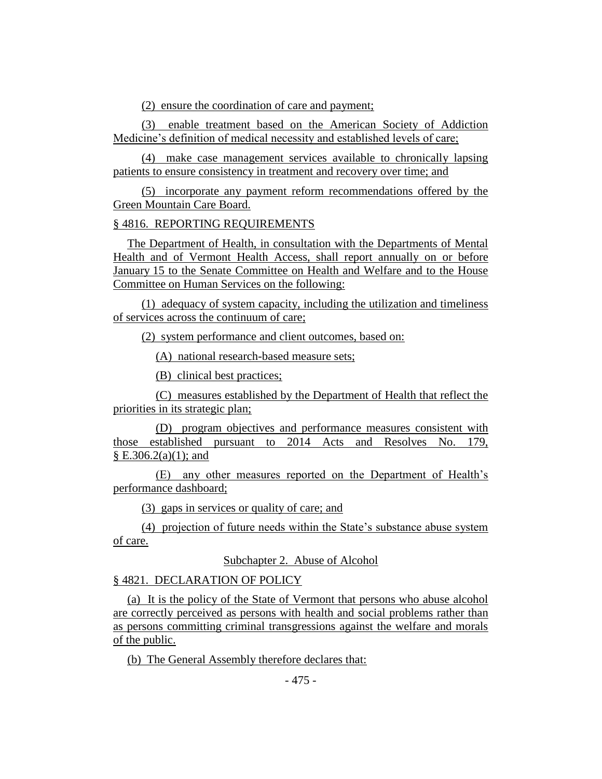(2) ensure the coordination of care and payment;

(3) enable treatment based on the American Society of Addiction Medicine's definition of medical necessity and established levels of care;

(4) make case management services available to chronically lapsing patients to ensure consistency in treatment and recovery over time; and

(5) incorporate any payment reform recommendations offered by the Green Mountain Care Board.

# § 4816. REPORTING REQUIREMENTS

The Department of Health, in consultation with the Departments of Mental Health and of Vermont Health Access, shall report annually on or before January 15 to the Senate Committee on Health and Welfare and to the House Committee on Human Services on the following:

(1) adequacy of system capacity, including the utilization and timeliness of services across the continuum of care;

(2) system performance and client outcomes, based on:

(A) national research-based measure sets;

(B) clinical best practices;

(C) measures established by the Department of Health that reflect the priorities in its strategic plan;

(D) program objectives and performance measures consistent with those established pursuant to 2014 Acts and Resolves No. 179,  $\S E.306.2(a)(1)$ ; and

(E) any other measures reported on the Department of Health's performance dashboard;

(3) gaps in services or quality of care; and

(4) projection of future needs within the State's substance abuse system of care.

Subchapter 2. Abuse of Alcohol

§ 4821. DECLARATION OF POLICY

(a) It is the policy of the State of Vermont that persons who abuse alcohol are correctly perceived as persons with health and social problems rather than as persons committing criminal transgressions against the welfare and morals of the public.

(b) The General Assembly therefore declares that: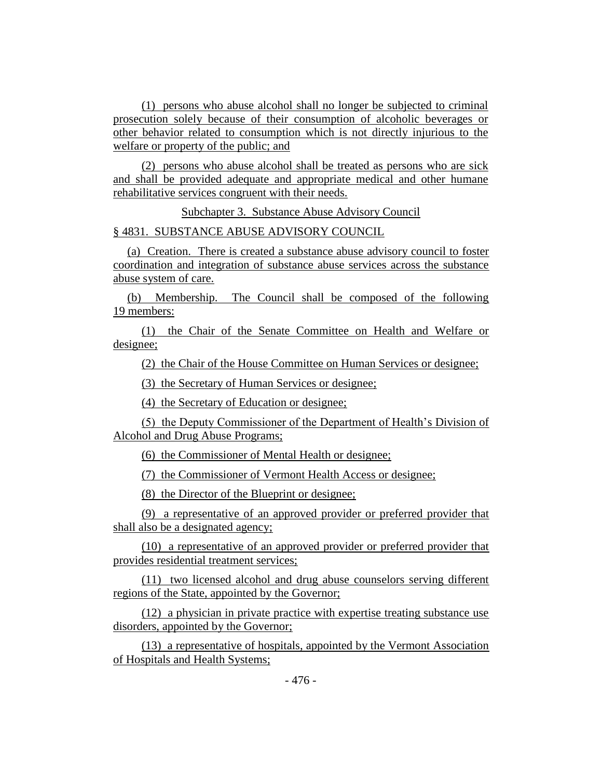(1) persons who abuse alcohol shall no longer be subjected to criminal prosecution solely because of their consumption of alcoholic beverages or other behavior related to consumption which is not directly injurious to the welfare or property of the public; and

(2) persons who abuse alcohol shall be treated as persons who are sick and shall be provided adequate and appropriate medical and other humane rehabilitative services congruent with their needs.

Subchapter 3. Substance Abuse Advisory Council

§ 4831. SUBSTANCE ABUSE ADVISORY COUNCIL

(a) Creation. There is created a substance abuse advisory council to foster coordination and integration of substance abuse services across the substance abuse system of care.

(b) Membership. The Council shall be composed of the following 19 members:

(1) the Chair of the Senate Committee on Health and Welfare or designee;

(2) the Chair of the House Committee on Human Services or designee;

(3) the Secretary of Human Services or designee;

(4) the Secretary of Education or designee;

(5) the Deputy Commissioner of the Department of Health's Division of Alcohol and Drug Abuse Programs;

(6) the Commissioner of Mental Health or designee;

(7) the Commissioner of Vermont Health Access or designee;

(8) the Director of the Blueprint or designee;

(9) a representative of an approved provider or preferred provider that shall also be a designated agency;

(10) a representative of an approved provider or preferred provider that provides residential treatment services;

(11) two licensed alcohol and drug abuse counselors serving different regions of the State, appointed by the Governor;

(12) a physician in private practice with expertise treating substance use disorders, appointed by the Governor;

(13) a representative of hospitals, appointed by the Vermont Association of Hospitals and Health Systems;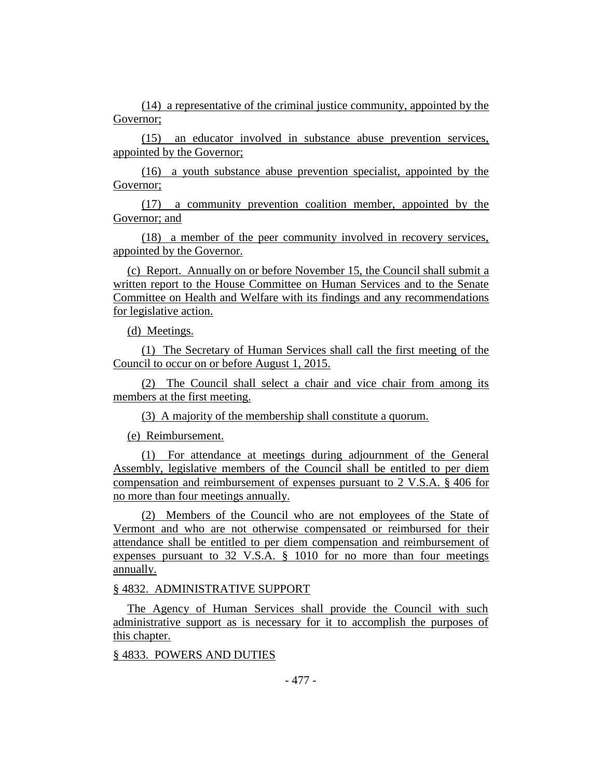(14) a representative of the criminal justice community, appointed by the Governor;

(15) an educator involved in substance abuse prevention services, appointed by the Governor;

(16) a youth substance abuse prevention specialist, appointed by the Governor;

(17) a community prevention coalition member, appointed by the Governor; and

(18) a member of the peer community involved in recovery services, appointed by the Governor.

(c) Report. Annually on or before November 15, the Council shall submit a written report to the House Committee on Human Services and to the Senate Committee on Health and Welfare with its findings and any recommendations for legislative action.

(d) Meetings.

(1) The Secretary of Human Services shall call the first meeting of the Council to occur on or before August 1, 2015.

(2) The Council shall select a chair and vice chair from among its members at the first meeting.

(3) A majority of the membership shall constitute a quorum.

(e) Reimbursement.

(1) For attendance at meetings during adjournment of the General Assembly, legislative members of the Council shall be entitled to per diem compensation and reimbursement of expenses pursuant to 2 V.S.A. § 406 for no more than four meetings annually.

(2) Members of the Council who are not employees of the State of Vermont and who are not otherwise compensated or reimbursed for their attendance shall be entitled to per diem compensation and reimbursement of expenses pursuant to 32 V.S.A. § 1010 for no more than four meetings annually.

# § 4832. ADMINISTRATIVE SUPPORT

The Agency of Human Services shall provide the Council with such administrative support as is necessary for it to accomplish the purposes of this chapter.

#### § 4833. POWERS AND DUTIES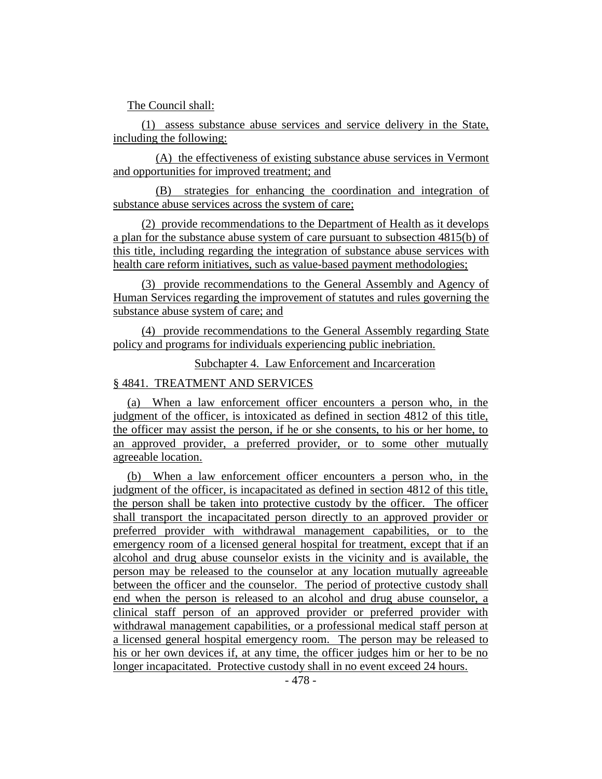The Council shall:

(1) assess substance abuse services and service delivery in the State, including the following:

(A) the effectiveness of existing substance abuse services in Vermont and opportunities for improved treatment; and

(B) strategies for enhancing the coordination and integration of substance abuse services across the system of care;

(2) provide recommendations to the Department of Health as it develops a plan for the substance abuse system of care pursuant to subsection 4815(b) of this title, including regarding the integration of substance abuse services with health care reform initiatives, such as value-based payment methodologies;

(3) provide recommendations to the General Assembly and Agency of Human Services regarding the improvement of statutes and rules governing the substance abuse system of care; and

(4) provide recommendations to the General Assembly regarding State policy and programs for individuals experiencing public inebriation.

Subchapter 4. Law Enforcement and Incarceration

# § 4841. TREATMENT AND SERVICES

(a) When a law enforcement officer encounters a person who, in the judgment of the officer, is intoxicated as defined in section 4812 of this title, the officer may assist the person, if he or she consents, to his or her home, to an approved provider, a preferred provider, or to some other mutually agreeable location.

(b) When a law enforcement officer encounters a person who, in the judgment of the officer, is incapacitated as defined in section 4812 of this title, the person shall be taken into protective custody by the officer. The officer shall transport the incapacitated person directly to an approved provider or preferred provider with withdrawal management capabilities, or to the emergency room of a licensed general hospital for treatment, except that if an alcohol and drug abuse counselor exists in the vicinity and is available, the person may be released to the counselor at any location mutually agreeable between the officer and the counselor. The period of protective custody shall end when the person is released to an alcohol and drug abuse counselor, a clinical staff person of an approved provider or preferred provider with withdrawal management capabilities, or a professional medical staff person at a licensed general hospital emergency room. The person may be released to his or her own devices if, at any time, the officer judges him or her to be no longer incapacitated. Protective custody shall in no event exceed 24 hours.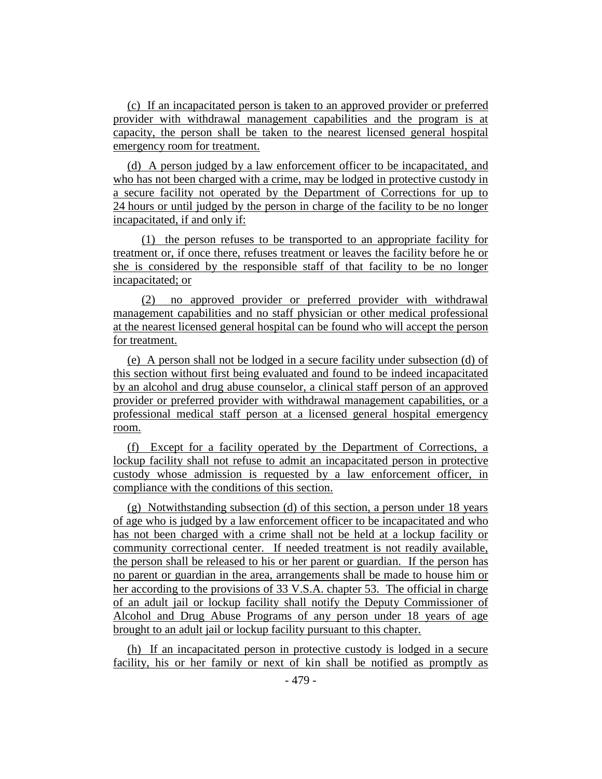(c) If an incapacitated person is taken to an approved provider or preferred provider with withdrawal management capabilities and the program is at capacity, the person shall be taken to the nearest licensed general hospital emergency room for treatment.

(d) A person judged by a law enforcement officer to be incapacitated, and who has not been charged with a crime, may be lodged in protective custody in a secure facility not operated by the Department of Corrections for up to 24 hours or until judged by the person in charge of the facility to be no longer incapacitated, if and only if:

(1) the person refuses to be transported to an appropriate facility for treatment or, if once there, refuses treatment or leaves the facility before he or she is considered by the responsible staff of that facility to be no longer incapacitated; or

(2) no approved provider or preferred provider with withdrawal management capabilities and no staff physician or other medical professional at the nearest licensed general hospital can be found who will accept the person for treatment.

(e) A person shall not be lodged in a secure facility under subsection (d) of this section without first being evaluated and found to be indeed incapacitated by an alcohol and drug abuse counselor, a clinical staff person of an approved provider or preferred provider with withdrawal management capabilities, or a professional medical staff person at a licensed general hospital emergency room.

(f) Except for a facility operated by the Department of Corrections, a lockup facility shall not refuse to admit an incapacitated person in protective custody whose admission is requested by a law enforcement officer, in compliance with the conditions of this section.

(g) Notwithstanding subsection (d) of this section, a person under 18 years of age who is judged by a law enforcement officer to be incapacitated and who has not been charged with a crime shall not be held at a lockup facility or community correctional center. If needed treatment is not readily available, the person shall be released to his or her parent or guardian. If the person has no parent or guardian in the area, arrangements shall be made to house him or her according to the provisions of 33 V.S.A. chapter 53. The official in charge of an adult jail or lockup facility shall notify the Deputy Commissioner of Alcohol and Drug Abuse Programs of any person under 18 years of age brought to an adult jail or lockup facility pursuant to this chapter.

(h) If an incapacitated person in protective custody is lodged in a secure facility, his or her family or next of kin shall be notified as promptly as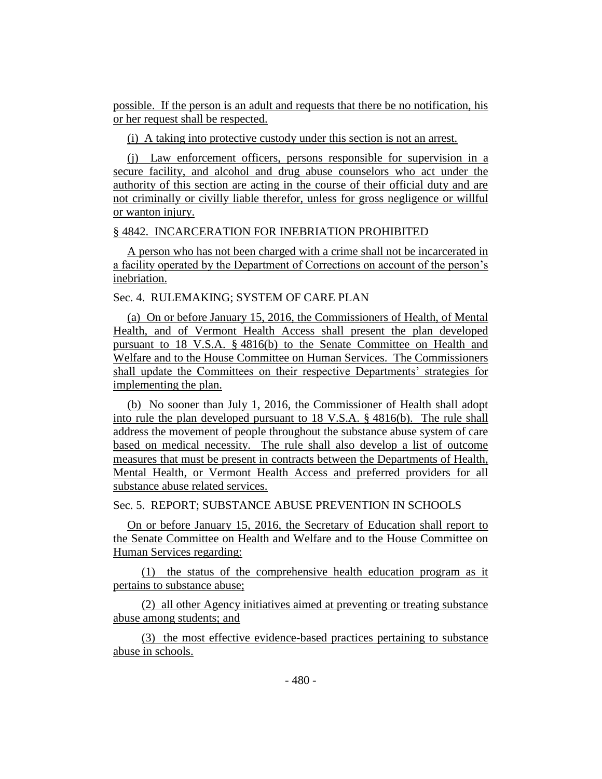possible. If the person is an adult and requests that there be no notification, his or her request shall be respected.

(i) A taking into protective custody under this section is not an arrest.

(j) Law enforcement officers, persons responsible for supervision in a secure facility, and alcohol and drug abuse counselors who act under the authority of this section are acting in the course of their official duty and are not criminally or civilly liable therefor, unless for gross negligence or willful or wanton injury.

#### § 4842. INCARCERATION FOR INEBRIATION PROHIBITED

A person who has not been charged with a crime shall not be incarcerated in a facility operated by the Department of Corrections on account of the person's inebriation.

Sec. 4. RULEMAKING; SYSTEM OF CARE PLAN

(a) On or before January 15, 2016, the Commissioners of Health, of Mental Health, and of Vermont Health Access shall present the plan developed pursuant to 18 V.S.A. § 4816(b) to the Senate Committee on Health and Welfare and to the House Committee on Human Services. The Commissioners shall update the Committees on their respective Departments' strategies for implementing the plan.

(b) No sooner than July 1, 2016, the Commissioner of Health shall adopt into rule the plan developed pursuant to 18 V.S.A. § 4816(b). The rule shall address the movement of people throughout the substance abuse system of care based on medical necessity. The rule shall also develop a list of outcome measures that must be present in contracts between the Departments of Health, Mental Health, or Vermont Health Access and preferred providers for all substance abuse related services.

Sec. 5. REPORT; SUBSTANCE ABUSE PREVENTION IN SCHOOLS

On or before January 15, 2016, the Secretary of Education shall report to the Senate Committee on Health and Welfare and to the House Committee on Human Services regarding:

(1) the status of the comprehensive health education program as it pertains to substance abuse;

(2) all other Agency initiatives aimed at preventing or treating substance abuse among students; and

(3) the most effective evidence-based practices pertaining to substance abuse in schools.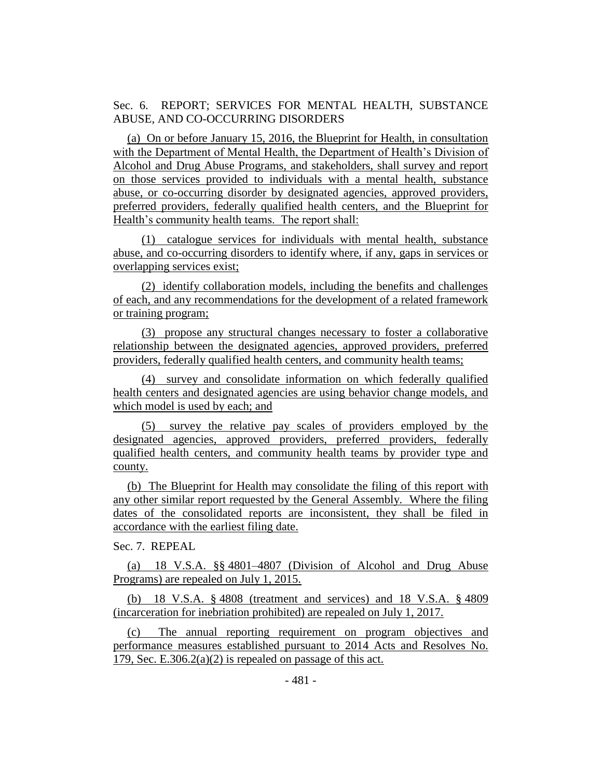Sec. 6. REPORT; SERVICES FOR MENTAL HEALTH, SUBSTANCE ABUSE, AND CO-OCCURRING DISORDERS

(a) On or before January 15, 2016, the Blueprint for Health, in consultation with the Department of Mental Health, the Department of Health's Division of Alcohol and Drug Abuse Programs, and stakeholders, shall survey and report on those services provided to individuals with a mental health, substance abuse, or co-occurring disorder by designated agencies, approved providers, preferred providers, federally qualified health centers, and the Blueprint for Health's community health teams. The report shall:

(1) catalogue services for individuals with mental health, substance abuse, and co-occurring disorders to identify where, if any, gaps in services or overlapping services exist;

(2) identify collaboration models, including the benefits and challenges of each, and any recommendations for the development of a related framework or training program;

(3) propose any structural changes necessary to foster a collaborative relationship between the designated agencies, approved providers, preferred providers, federally qualified health centers, and community health teams;

(4) survey and consolidate information on which federally qualified health centers and designated agencies are using behavior change models, and which model is used by each; and

(5) survey the relative pay scales of providers employed by the designated agencies, approved providers, preferred providers, federally qualified health centers, and community health teams by provider type and county.

(b) The Blueprint for Health may consolidate the filing of this report with any other similar report requested by the General Assembly. Where the filing dates of the consolidated reports are inconsistent, they shall be filed in accordance with the earliest filing date.

Sec. 7. REPEAL

(a) 18 V.S.A. §§ 4801–4807 (Division of Alcohol and Drug Abuse Programs) are repealed on July 1, 2015.

(b) 18 V.S.A. § 4808 (treatment and services) and 18 V.S.A. § 4809 (incarceration for inebriation prohibited) are repealed on July 1, 2017.

(c) The annual reporting requirement on program objectives and performance measures established pursuant to 2014 Acts and Resolves No. 179, Sec. E.306.2(a)(2) is repealed on passage of this act.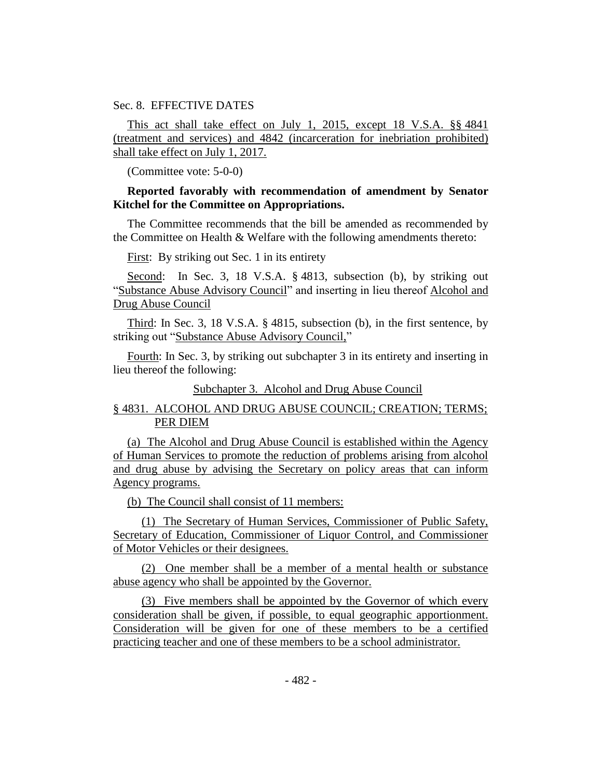Sec. 8. EFFECTIVE DATES

This act shall take effect on July 1, 2015, except 18 V.S.A. §§ 4841 (treatment and services) and 4842 (incarceration for inebriation prohibited) shall take effect on July 1, 2017.

(Committee vote: 5-0-0)

# **Reported favorably with recommendation of amendment by Senator Kitchel for the Committee on Appropriations.**

The Committee recommends that the bill be amended as recommended by the Committee on Health & Welfare with the following amendments thereto:

First: By striking out Sec. 1 in its entirety

Second: In Sec. 3, 18 V.S.A. § 4813, subsection (b), by striking out "Substance Abuse Advisory Council" and inserting in lieu thereof Alcohol and Drug Abuse Council

Third: In Sec. 3, 18 V.S.A. § 4815, subsection (b), in the first sentence, by striking out "Substance Abuse Advisory Council,"

Fourth: In Sec. 3, by striking out subchapter 3 in its entirety and inserting in lieu thereof the following:

## Subchapter 3. Alcohol and Drug Abuse Council

# § 4831. ALCOHOL AND DRUG ABUSE COUNCIL; CREATION; TERMS; PER DIEM

(a) The Alcohol and Drug Abuse Council is established within the Agency of Human Services to promote the reduction of problems arising from alcohol and drug abuse by advising the Secretary on policy areas that can inform Agency programs.

(b) The Council shall consist of 11 members:

(1) The Secretary of Human Services, Commissioner of Public Safety, Secretary of Education, Commissioner of Liquor Control, and Commissioner of Motor Vehicles or their designees.

(2) One member shall be a member of a mental health or substance abuse agency who shall be appointed by the Governor.

(3) Five members shall be appointed by the Governor of which every consideration shall be given, if possible, to equal geographic apportionment. Consideration will be given for one of these members to be a certified practicing teacher and one of these members to be a school administrator.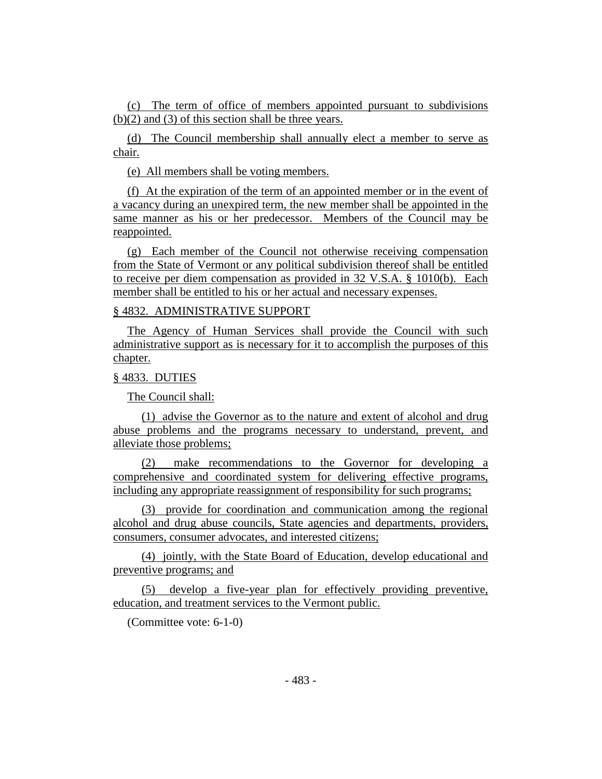(c) The term of office of members appointed pursuant to subdivisions (b)(2) and (3) of this section shall be three years.

(d) The Council membership shall annually elect a member to serve as chair.

(e) All members shall be voting members.

(f) At the expiration of the term of an appointed member or in the event of a vacancy during an unexpired term, the new member shall be appointed in the same manner as his or her predecessor. Members of the Council may be reappointed.

(g) Each member of the Council not otherwise receiving compensation from the State of Vermont or any political subdivision thereof shall be entitled to receive per diem compensation as provided in 32 V.S.A. § 1010(b). Each member shall be entitled to his or her actual and necessary expenses.

# § 4832. ADMINISTRATIVE SUPPORT

The Agency of Human Services shall provide the Council with such administrative support as is necessary for it to accomplish the purposes of this chapter.

# § 4833. DUTIES

The Council shall:

(1) advise the Governor as to the nature and extent of alcohol and drug abuse problems and the programs necessary to understand, prevent, and alleviate those problems;

(2) make recommendations to the Governor for developing a comprehensive and coordinated system for delivering effective programs, including any appropriate reassignment of responsibility for such programs;

(3) provide for coordination and communication among the regional alcohol and drug abuse councils, State agencies and departments, providers, consumers, consumer advocates, and interested citizens;

(4) jointly, with the State Board of Education, develop educational and preventive programs; and

(5) develop a five-year plan for effectively providing preventive, education, and treatment services to the Vermont public.

(Committee vote: 6-1-0)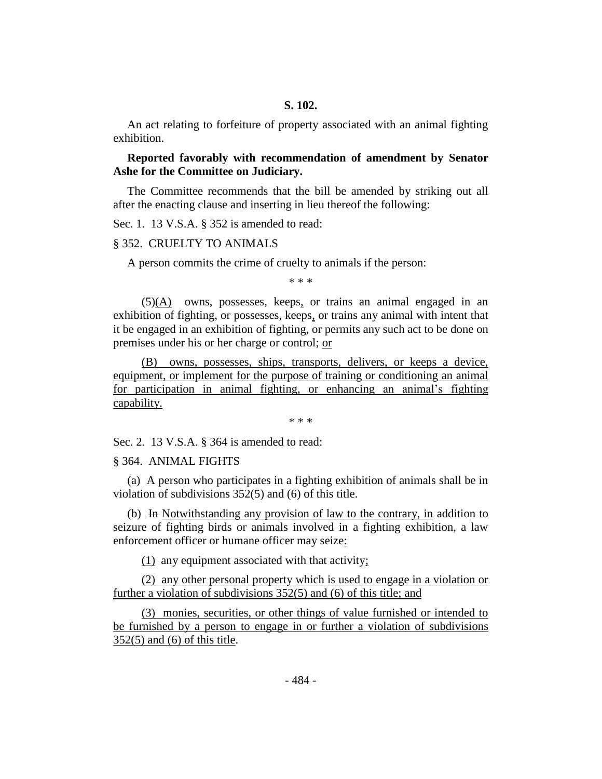An act relating to forfeiture of property associated with an animal fighting exhibition.

# **Reported favorably with recommendation of amendment by Senator Ashe for the Committee on Judiciary.**

The Committee recommends that the bill be amended by striking out all after the enacting clause and inserting in lieu thereof the following:

Sec. 1. 13 V.S.A. § 352 is amended to read:

#### § 352. CRUELTY TO ANIMALS

A person commits the crime of cruelty to animals if the person:

\* \* \*

(5)(A) owns, possesses, keeps, or trains an animal engaged in an exhibition of fighting, or possesses, keeps, or trains any animal with intent that it be engaged in an exhibition of fighting, or permits any such act to be done on premises under his or her charge or control; or

(B) owns, possesses, ships, transports, delivers, or keeps a device, equipment, or implement for the purpose of training or conditioning an animal for participation in animal fighting, or enhancing an animal's fighting capability.

\* \* \*

Sec. 2. 13 V.S.A. § 364 is amended to read:

#### § 364. ANIMAL FIGHTS

(a) A person who participates in a fighting exhibition of animals shall be in violation of subdivisions 352(5) and (6) of this title.

(b) In Notwithstanding any provision of law to the contrary, in addition to seizure of fighting birds or animals involved in a fighting exhibition, a law enforcement officer or humane officer may seize:

(1) any equipment associated with that activity;

(2) any other personal property which is used to engage in a violation or further a violation of subdivisions 352(5) and (6) of this title; and

(3) monies, securities, or other things of value furnished or intended to be furnished by a person to engage in or further a violation of subdivisions 352(5) and (6) of this title.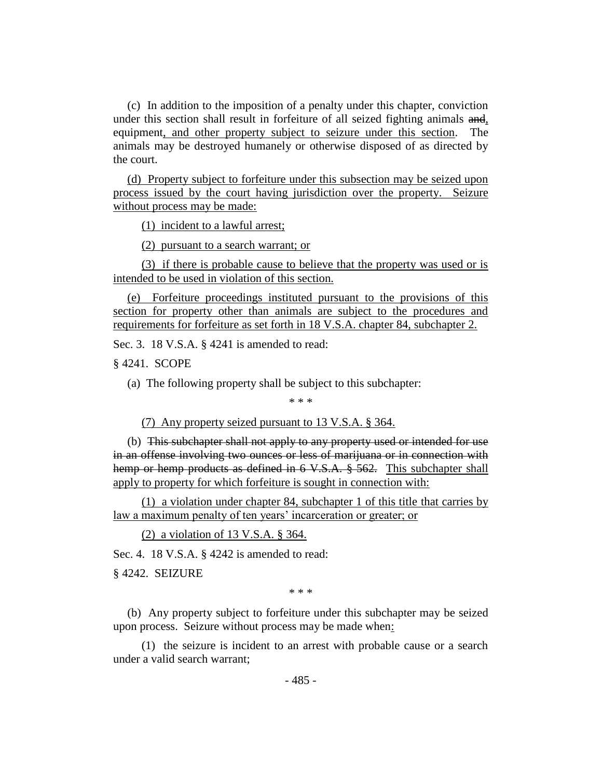(c) In addition to the imposition of a penalty under this chapter, conviction under this section shall result in forfeiture of all seized fighting animals and, equipment, and other property subject to seizure under this section. The animals may be destroyed humanely or otherwise disposed of as directed by the court.

(d) Property subject to forfeiture under this subsection may be seized upon process issued by the court having jurisdiction over the property. Seizure without process may be made:

(1) incident to a lawful arrest;

(2) pursuant to a search warrant; or

(3) if there is probable cause to believe that the property was used or is intended to be used in violation of this section.

(e) Forfeiture proceedings instituted pursuant to the provisions of this section for property other than animals are subject to the procedures and requirements for forfeiture as set forth in 18 V.S.A. chapter 84, subchapter 2.

Sec. 3. 18 V.S.A. § 4241 is amended to read:

§ 4241. SCOPE

(a) The following property shall be subject to this subchapter:

\* \* \*

(7) Any property seized pursuant to 13 V.S.A. § 364.

(b) This subchapter shall not apply to any property used or intended for use in an offense involving two ounces or less of marijuana or in connection with hemp or hemp products as defined in 6 V.S.A. § 562. This subchapter shall apply to property for which forfeiture is sought in connection with:

(1) a violation under chapter 84, subchapter 1 of this title that carries by law a maximum penalty of ten years' incarceration or greater; or

(2) a violation of 13 V.S.A. § 364.

Sec. 4. 18 V.S.A. § 4242 is amended to read:

§ 4242. SEIZURE

\* \* \*

(b) Any property subject to forfeiture under this subchapter may be seized upon process. Seizure without process may be made when:

(1) the seizure is incident to an arrest with probable cause or a search under a valid search warrant;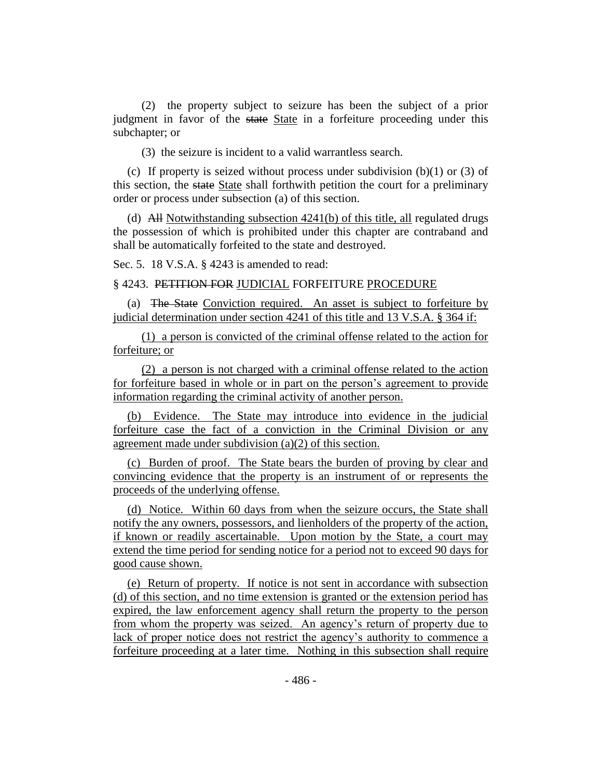(2) the property subject to seizure has been the subject of a prior judgment in favor of the state State in a forfeiture proceeding under this subchapter; or

(3) the seizure is incident to a valid warrantless search.

(c) If property is seized without process under subdivision  $(b)(1)$  or  $(3)$  of this section, the state State shall forthwith petition the court for a preliminary order or process under subsection (a) of this section.

(d) All Notwithstanding subsection 4241(b) of this title, all regulated drugs the possession of which is prohibited under this chapter are contraband and shall be automatically forfeited to the state and destroyed.

Sec. 5. 18 V.S.A. § 4243 is amended to read:

§ 4243. PETITION FOR JUDICIAL FORFEITURE PROCEDURE

(a) The State Conviction required. An asset is subject to forfeiture by judicial determination under section 4241 of this title and 13 V.S.A. § 364 if:

(1) a person is convicted of the criminal offense related to the action for forfeiture; or

(2) a person is not charged with a criminal offense related to the action for forfeiture based in whole or in part on the person's agreement to provide information regarding the criminal activity of another person.

(b) Evidence. The State may introduce into evidence in the judicial forfeiture case the fact of a conviction in the Criminal Division or any agreement made under subdivision (a)(2) of this section.

(c) Burden of proof. The State bears the burden of proving by clear and convincing evidence that the property is an instrument of or represents the proceeds of the underlying offense.

(d) Notice. Within 60 days from when the seizure occurs, the State shall notify the any owners, possessors, and lienholders of the property of the action, if known or readily ascertainable. Upon motion by the State, a court may extend the time period for sending notice for a period not to exceed 90 days for good cause shown.

(e) Return of property. If notice is not sent in accordance with subsection (d) of this section, and no time extension is granted or the extension period has expired, the law enforcement agency shall return the property to the person from whom the property was seized. An agency's return of property due to lack of proper notice does not restrict the agency's authority to commence a forfeiture proceeding at a later time. Nothing in this subsection shall require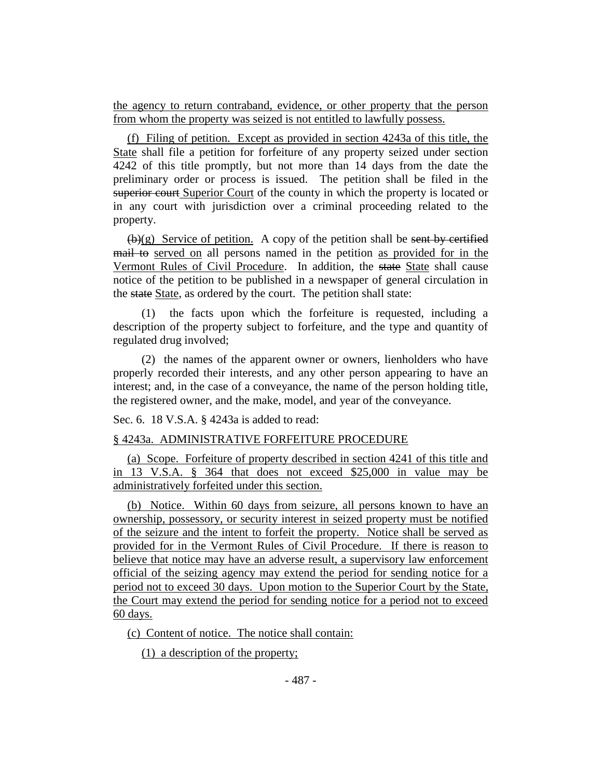the agency to return contraband, evidence, or other property that the person from whom the property was seized is not entitled to lawfully possess.

(f) Filing of petition. Except as provided in section 4243a of this title, the State shall file a petition for forfeiture of any property seized under section 4242 of this title promptly, but not more than 14 days from the date the preliminary order or process is issued. The petition shall be filed in the superior court Superior Court of the county in which the property is located or in any court with jurisdiction over a criminal proceeding related to the property.

 $(\mathbf{b})(g)$  Service of petition. A copy of the petition shall be sent by certified mail to served on all persons named in the petition as provided for in the Vermont Rules of Civil Procedure. In addition, the state State shall cause notice of the petition to be published in a newspaper of general circulation in the state State, as ordered by the court. The petition shall state:

(1) the facts upon which the forfeiture is requested, including a description of the property subject to forfeiture, and the type and quantity of regulated drug involved;

(2) the names of the apparent owner or owners, lienholders who have properly recorded their interests, and any other person appearing to have an interest; and, in the case of a conveyance, the name of the person holding title, the registered owner, and the make, model, and year of the conveyance.

Sec. 6. 18 V.S.A. § 4243a is added to read:

## § 4243a. ADMINISTRATIVE FORFEITURE PROCEDURE

(a) Scope. Forfeiture of property described in section 4241 of this title and in 13 V.S.A. § 364 that does not exceed \$25,000 in value may be administratively forfeited under this section.

(b) Notice. Within 60 days from seizure, all persons known to have an ownership, possessory, or security interest in seized property must be notified of the seizure and the intent to forfeit the property. Notice shall be served as provided for in the Vermont Rules of Civil Procedure. If there is reason to believe that notice may have an adverse result, a supervisory law enforcement official of the seizing agency may extend the period for sending notice for a period not to exceed 30 days. Upon motion to the Superior Court by the State, the Court may extend the period for sending notice for a period not to exceed 60 days.

(c) Content of notice. The notice shall contain:

(1) a description of the property;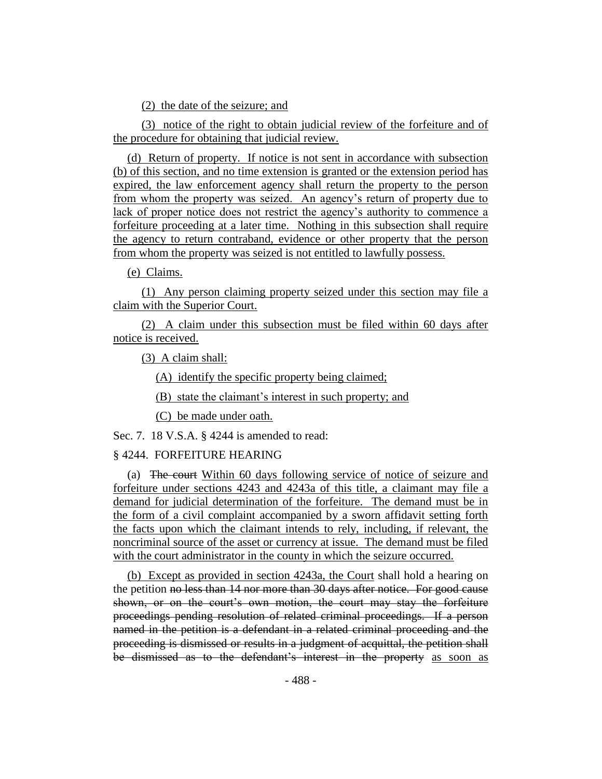(2) the date of the seizure; and

(3) notice of the right to obtain judicial review of the forfeiture and of the procedure for obtaining that judicial review.

(d) Return of property. If notice is not sent in accordance with subsection (b) of this section, and no time extension is granted or the extension period has expired, the law enforcement agency shall return the property to the person from whom the property was seized. An agency's return of property due to lack of proper notice does not restrict the agency's authority to commence a forfeiture proceeding at a later time. Nothing in this subsection shall require the agency to return contraband, evidence or other property that the person from whom the property was seized is not entitled to lawfully possess.

(e) Claims.

(1) Any person claiming property seized under this section may file a claim with the Superior Court.

(2) A claim under this subsection must be filed within 60 days after notice is received.

(3) A claim shall:

(A) identify the specific property being claimed;

(B) state the claimant's interest in such property; and

(C) be made under oath.

Sec. 7. 18 V.S.A. § 4244 is amended to read:

## § 4244. FORFEITURE HEARING

(a) The court Within 60 days following service of notice of seizure and forfeiture under sections 4243 and 4243a of this title, a claimant may file a demand for judicial determination of the forfeiture. The demand must be in the form of a civil complaint accompanied by a sworn affidavit setting forth the facts upon which the claimant intends to rely, including, if relevant, the noncriminal source of the asset or currency at issue. The demand must be filed with the court administrator in the county in which the seizure occurred.

(b) Except as provided in section 4243a, the Court shall hold a hearing on the petition no less than 14 nor more than 30 days after notice. For good cause shown, or on the court's own motion, the court may stay the forfeiture proceedings pending resolution of related criminal proceedings. If a person named in the petition is a defendant in a related criminal proceeding and the proceeding is dismissed or results in a judgment of acquittal, the petition shall be dismissed as to the defendant's interest in the property as soon as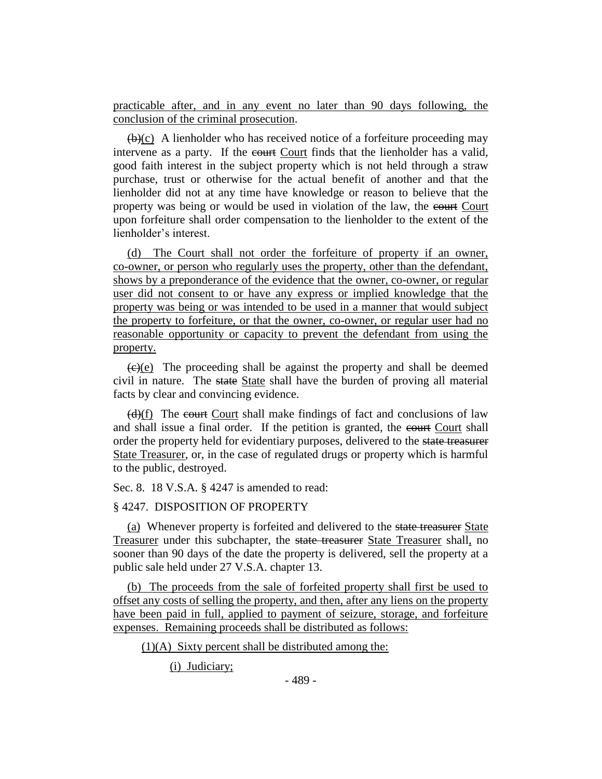practicable after, and in any event no later than 90 days following, the conclusion of the criminal prosecution.

 $(\theta)(c)$  A lienholder who has received notice of a forfeiture proceeding may intervene as a party. If the court Court finds that the lienholder has a valid, good faith interest in the subject property which is not held through a straw purchase, trust or otherwise for the actual benefit of another and that the lienholder did not at any time have knowledge or reason to believe that the property was being or would be used in violation of the law, the court Court upon forfeiture shall order compensation to the lienholder to the extent of the lienholder's interest.

(d) The Court shall not order the forfeiture of property if an owner, co-owner, or person who regularly uses the property, other than the defendant, shows by a preponderance of the evidence that the owner, co-owner, or regular user did not consent to or have any express or implied knowledge that the property was being or was intended to be used in a manner that would subject the property to forfeiture, or that the owner, co-owner, or regular user had no reasonable opportunity or capacity to prevent the defendant from using the property.

 $\overline{(e)(e)}$  The proceeding shall be against the property and shall be deemed civil in nature. The state State shall have the burden of proving all material facts by clear and convincing evidence.

 $(d)(f)$  The court Court shall make findings of fact and conclusions of law and shall issue a final order. If the petition is granted, the court Court shall order the property held for evidentiary purposes, delivered to the state treasurer State Treasurer, or, in the case of regulated drugs or property which is harmful to the public, destroyed.

Sec. 8. 18 V.S.A. § 4247 is amended to read:

## § 4247. DISPOSITION OF PROPERTY

(a) Whenever property is forfeited and delivered to the state treasurer State Treasurer under this subchapter, the state treasurer State Treasurer shall, no sooner than 90 days of the date the property is delivered, sell the property at a public sale held under 27 V.S.A. chapter 13.

(b) The proceeds from the sale of forfeited property shall first be used to offset any costs of selling the property, and then, after any liens on the property have been paid in full, applied to payment of seizure, storage, and forfeiture expenses. Remaining proceeds shall be distributed as follows:

 $(1)(A)$  Sixty percent shall be distributed among the:

(i) Judiciary;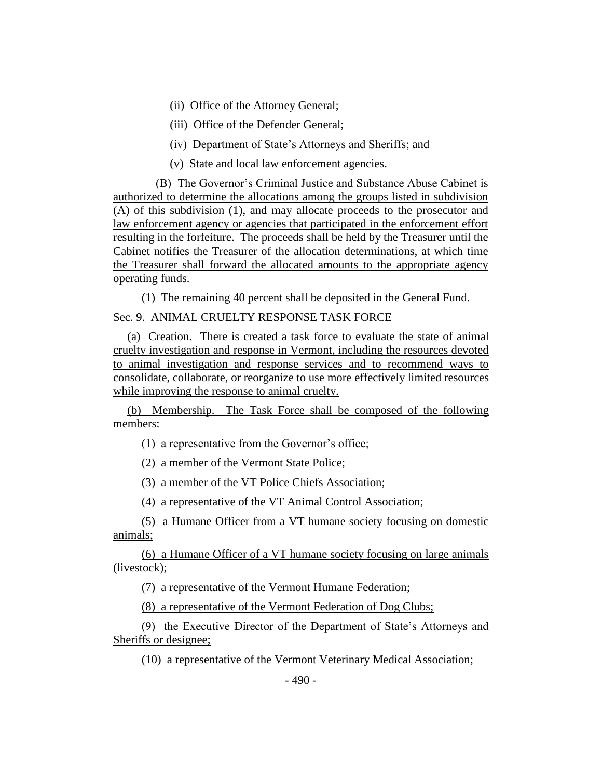(ii) Office of the Attorney General;

(iii) Office of the Defender General;

(iv) Department of State's Attorneys and Sheriffs; and

(v) State and local law enforcement agencies.

(B) The Governor's Criminal Justice and Substance Abuse Cabinet is authorized to determine the allocations among the groups listed in subdivision (A) of this subdivision (1), and may allocate proceeds to the prosecutor and law enforcement agency or agencies that participated in the enforcement effort resulting in the forfeiture. The proceeds shall be held by the Treasurer until the Cabinet notifies the Treasurer of the allocation determinations, at which time the Treasurer shall forward the allocated amounts to the appropriate agency operating funds.

(1) The remaining 40 percent shall be deposited in the General Fund. Sec. 9. ANIMAL CRUELTY RESPONSE TASK FORCE

(a) Creation. There is created a task force to evaluate the state of animal cruelty investigation and response in Vermont, including the resources devoted to animal investigation and response services and to recommend ways to consolidate, collaborate, or reorganize to use more effectively limited resources while improving the response to animal cruelty.

(b) Membership. The Task Force shall be composed of the following members:

(1) a representative from the Governor's office;

(2) a member of the Vermont State Police;

(3) a member of the VT Police Chiefs Association;

(4) a representative of the VT Animal Control Association;

(5) a Humane Officer from a VT humane society focusing on domestic animals;

(6) a Humane Officer of a VT humane society focusing on large animals (livestock);

(7) a representative of the Vermont Humane Federation;

(8) a representative of the Vermont Federation of Dog Clubs;

(9) the Executive Director of the Department of State's Attorneys and Sheriffs or designee;

(10) a representative of the Vermont Veterinary Medical Association;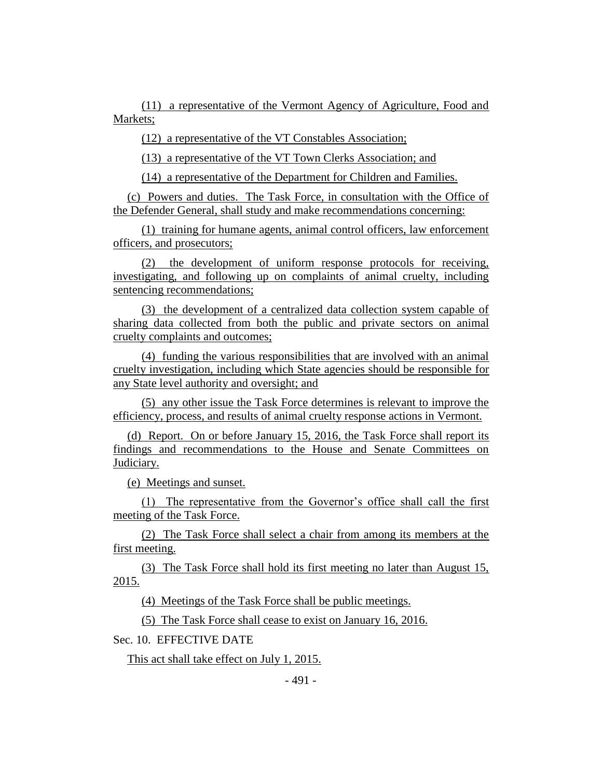(11) a representative of the Vermont Agency of Agriculture, Food and Markets;

(12) a representative of the VT Constables Association;

(13) a representative of the VT Town Clerks Association; and

(14) a representative of the Department for Children and Families.

(c) Powers and duties. The Task Force, in consultation with the Office of the Defender General, shall study and make recommendations concerning:

(1) training for humane agents, animal control officers, law enforcement officers, and prosecutors;

(2) the development of uniform response protocols for receiving, investigating, and following up on complaints of animal cruelty, including sentencing recommendations;

(3) the development of a centralized data collection system capable of sharing data collected from both the public and private sectors on animal cruelty complaints and outcomes;

(4) funding the various responsibilities that are involved with an animal cruelty investigation, including which State agencies should be responsible for any State level authority and oversight; and

(5) any other issue the Task Force determines is relevant to improve the efficiency, process, and results of animal cruelty response actions in Vermont.

(d) Report. On or before January 15, 2016, the Task Force shall report its findings and recommendations to the House and Senate Committees on Judiciary.

(e) Meetings and sunset.

(1) The representative from the Governor's office shall call the first meeting of the Task Force.

(2) The Task Force shall select a chair from among its members at the first meeting.

(3) The Task Force shall hold its first meeting no later than August 15, 2015.

(4) Meetings of the Task Force shall be public meetings.

(5) The Task Force shall cease to exist on January 16, 2016.

Sec. 10. EFFECTIVE DATE

This act shall take effect on July 1, 2015.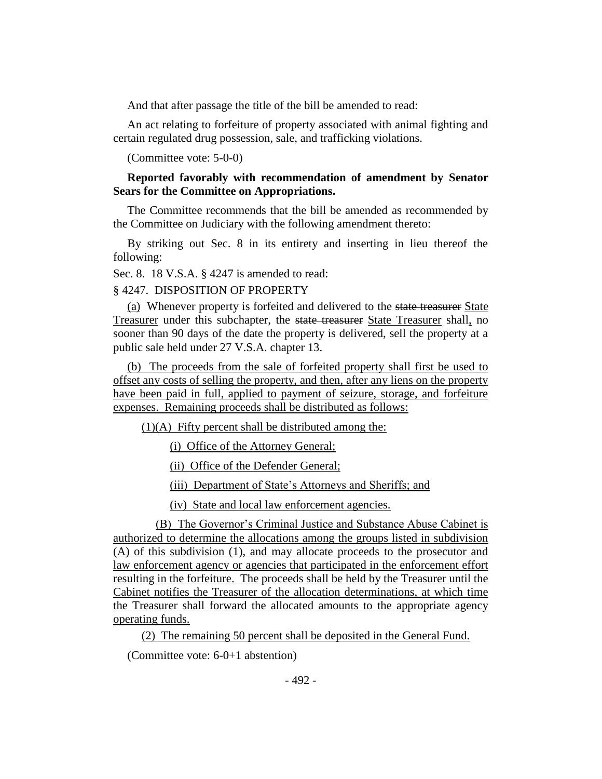And that after passage the title of the bill be amended to read:

An act relating to forfeiture of property associated with animal fighting and certain regulated drug possession, sale, and trafficking violations.

(Committee vote: 5-0-0)

# **Reported favorably with recommendation of amendment by Senator Sears for the Committee on Appropriations.**

The Committee recommends that the bill be amended as recommended by the Committee on Judiciary with the following amendment thereto:

By striking out Sec. 8 in its entirety and inserting in lieu thereof the following:

Sec. 8. 18 V.S.A. § 4247 is amended to read:

#### § 4247. DISPOSITION OF PROPERTY

(a) Whenever property is forfeited and delivered to the state treasurer State Treasurer under this subchapter, the state treasurer State Treasurer shall, no sooner than 90 days of the date the property is delivered, sell the property at a public sale held under 27 V.S.A. chapter 13.

(b) The proceeds from the sale of forfeited property shall first be used to offset any costs of selling the property, and then, after any liens on the property have been paid in full, applied to payment of seizure, storage, and forfeiture expenses. Remaining proceeds shall be distributed as follows:

 $(1)(A)$  Fifty percent shall be distributed among the:

(i) Office of the Attorney General;

(ii) Office of the Defender General;

(iii) Department of State's Attorneys and Sheriffs; and

(iv) State and local law enforcement agencies.

(B) The Governor's Criminal Justice and Substance Abuse Cabinet is authorized to determine the allocations among the groups listed in subdivision (A) of this subdivision (1), and may allocate proceeds to the prosecutor and law enforcement agency or agencies that participated in the enforcement effort resulting in the forfeiture. The proceeds shall be held by the Treasurer until the Cabinet notifies the Treasurer of the allocation determinations, at which time the Treasurer shall forward the allocated amounts to the appropriate agency operating funds.

(2) The remaining 50 percent shall be deposited in the General Fund.

(Committee vote: 6-0+1 abstention)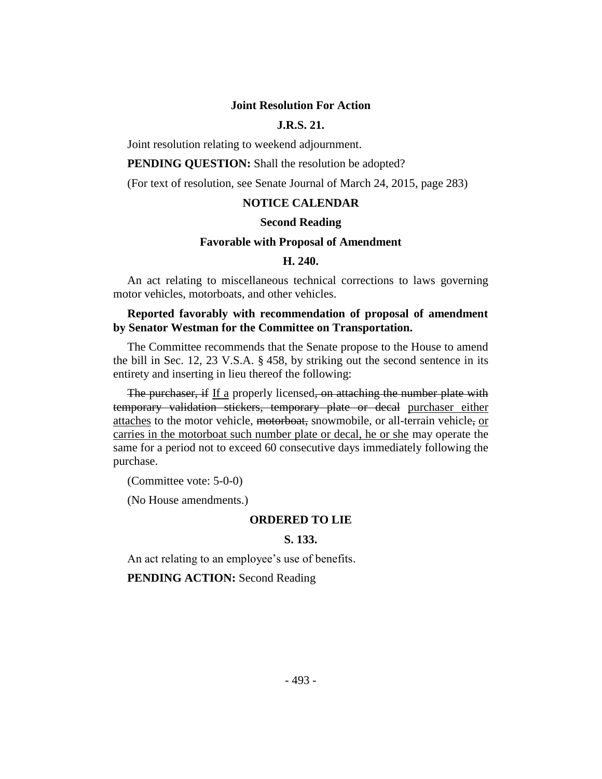#### **Joint Resolution For Action**

# **J.R.S. 21.**

Joint resolution relating to weekend adjournment.

**PENDING QUESTION:** Shall the resolution be adopted?

(For text of resolution, see Senate Journal of March 24, 2015, page 283)

# **NOTICE CALENDAR**

#### **Second Reading**

#### **Favorable with Proposal of Amendment**

#### **H. 240.**

An act relating to miscellaneous technical corrections to laws governing motor vehicles, motorboats, and other vehicles.

# **Reported favorably with recommendation of proposal of amendment by Senator Westman for the Committee on Transportation.**

The Committee recommends that the Senate propose to the House to amend the bill in Sec. 12, 23 V.S.A. § 458, by striking out the second sentence in its entirety and inserting in lieu thereof the following:

The purchaser, if If a properly licensed, on attaching the number plate with temporary validation stickers, temporary plate or decal purchaser either attaches to the motor vehicle, motorboat, snowmobile, or all-terrain vehicle, or carries in the motorboat such number plate or decal, he or she may operate the same for a period not to exceed 60 consecutive days immediately following the purchase.

(Committee vote: 5-0-0)

(No House amendments.)

#### **ORDERED TO LIE**

# **S. 133.**

An act relating to an employee's use of benefits.

**PENDING ACTION:** Second Reading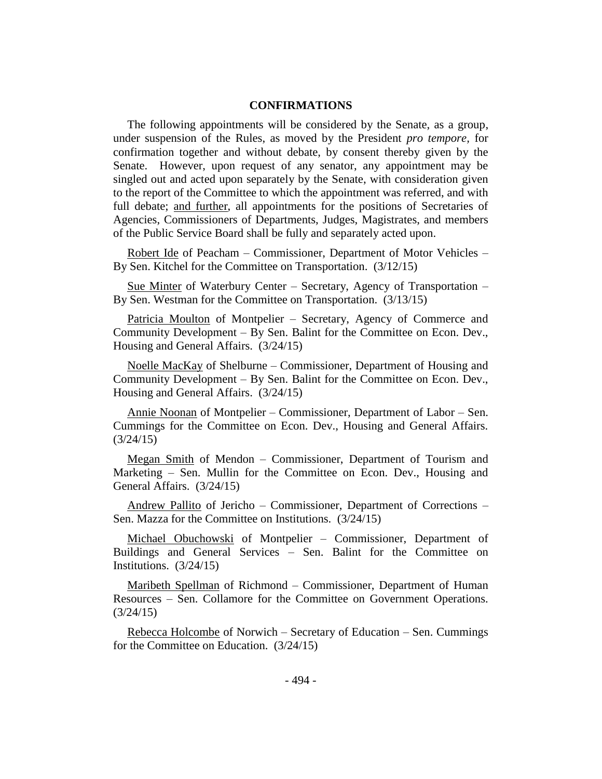# **CONFIRMATIONS**

The following appointments will be considered by the Senate, as a group, under suspension of the Rules, as moved by the President *pro tempore,* for confirmation together and without debate, by consent thereby given by the Senate. However, upon request of any senator, any appointment may be singled out and acted upon separately by the Senate, with consideration given to the report of the Committee to which the appointment was referred, and with full debate; and further, all appointments for the positions of Secretaries of Agencies, Commissioners of Departments, Judges, Magistrates, and members of the Public Service Board shall be fully and separately acted upon.

Robert Ide of Peacham – Commissioner, Department of Motor Vehicles – By Sen. Kitchel for the Committee on Transportation. (3/12/15)

Sue Minter of Waterbury Center – Secretary, Agency of Transportation – By Sen. Westman for the Committee on Transportation. (3/13/15)

Patricia Moulton of Montpelier – Secretary, Agency of Commerce and Community Development – By Sen. Balint for the Committee on Econ. Dev., Housing and General Affairs. (3/24/15)

Noelle MacKay of Shelburne – Commissioner, Department of Housing and Community Development – By Sen. Balint for the Committee on Econ. Dev., Housing and General Affairs. (3/24/15)

Annie Noonan of Montpelier – Commissioner, Department of Labor – Sen. Cummings for the Committee on Econ. Dev., Housing and General Affairs. (3/24/15)

Megan Smith of Mendon – Commissioner, Department of Tourism and Marketing – Sen. Mullin for the Committee on Econ. Dev., Housing and General Affairs. (3/24/15)

Andrew Pallito of Jericho – Commissioner, Department of Corrections – Sen. Mazza for the Committee on Institutions. (3/24/15)

Michael Obuchowski of Montpelier – Commissioner, Department of Buildings and General Services – Sen. Balint for the Committee on Institutions. (3/24/15)

Maribeth Spellman of Richmond – Commissioner, Department of Human Resources – Sen. Collamore for the Committee on Government Operations. (3/24/15)

Rebecca Holcombe of Norwich – Secretary of Education – Sen. Cummings for the Committee on Education. (3/24/15)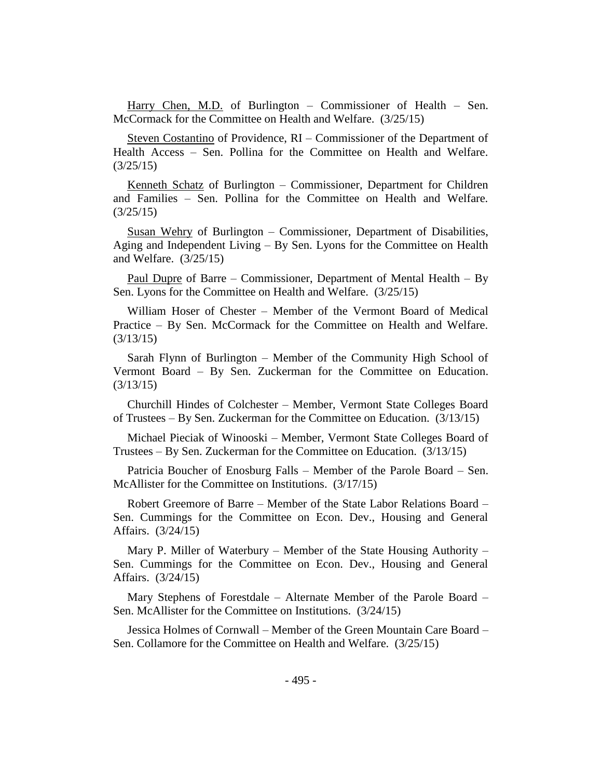Harry Chen, M.D. of Burlington – Commissioner of Health – Sen. McCormack for the Committee on Health and Welfare. (3/25/15)

Steven Costantino of Providence, RI – Commissioner of the Department of Health Access – Sen. Pollina for the Committee on Health and Welfare. (3/25/15)

Kenneth Schatz of Burlington – Commissioner, Department for Children and Families – Sen. Pollina for the Committee on Health and Welfare. (3/25/15)

Susan Wehry of Burlington – Commissioner, Department of Disabilities, Aging and Independent Living – By Sen. Lyons for the Committee on Health and Welfare. (3/25/15)

Paul Dupre of Barre – Commissioner, Department of Mental Health – By Sen. Lyons for the Committee on Health and Welfare. (3/25/15)

William Hoser of Chester – Member of the Vermont Board of Medical Practice – By Sen. McCormack for the Committee on Health and Welfare. (3/13/15)

Sarah Flynn of Burlington – Member of the Community High School of Vermont Board – By Sen. Zuckerman for the Committee on Education. (3/13/15)

Churchill Hindes of Colchester – Member, Vermont State Colleges Board of Trustees – By Sen. Zuckerman for the Committee on Education. (3/13/15)

Michael Pieciak of Winooski – Member, Vermont State Colleges Board of Trustees – By Sen. Zuckerman for the Committee on Education. (3/13/15)

Patricia Boucher of Enosburg Falls – Member of the Parole Board – Sen. McAllister for the Committee on Institutions. (3/17/15)

Robert Greemore of Barre – Member of the State Labor Relations Board – Sen. Cummings for the Committee on Econ. Dev., Housing and General Affairs. (3/24/15)

Mary P. Miller of Waterbury – Member of the State Housing Authority – Sen. Cummings for the Committee on Econ. Dev., Housing and General Affairs. (3/24/15)

Mary Stephens of Forestdale – Alternate Member of the Parole Board – Sen. McAllister for the Committee on Institutions. (3/24/15)

Jessica Holmes of Cornwall – Member of the Green Mountain Care Board – Sen. Collamore for the Committee on Health and Welfare. (3/25/15)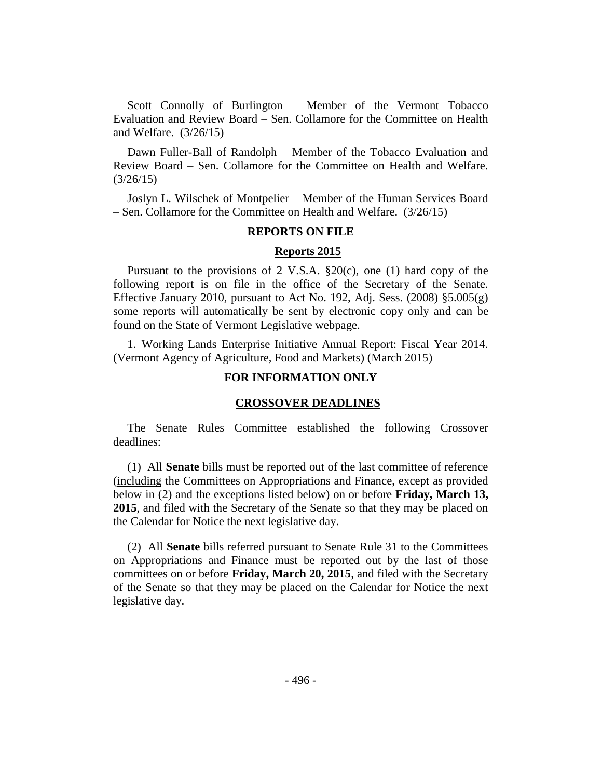Scott Connolly of Burlington – Member of the Vermont Tobacco Evaluation and Review Board – Sen. Collamore for the Committee on Health and Welfare. (3/26/15)

Dawn Fuller-Ball of Randolph – Member of the Tobacco Evaluation and Review Board – Sen. Collamore for the Committee on Health and Welfare. (3/26/15)

Joslyn L. Wilschek of Montpelier – Member of the Human Services Board – Sen. Collamore for the Committee on Health and Welfare. (3/26/15)

## **REPORTS ON FILE**

#### **Reports 2015**

Pursuant to the provisions of 2 V.S.A. §20(c), one (1) hard copy of the following report is on file in the office of the Secretary of the Senate. Effective January 2010, pursuant to Act No. 192, Adj. Sess.  $(2008)$  §5.005 $(g)$ some reports will automatically be sent by electronic copy only and can be found on the State of Vermont Legislative webpage.

1. Working Lands Enterprise Initiative Annual Report: Fiscal Year 2014. (Vermont Agency of Agriculture, Food and Markets) (March 2015)

## **FOR INFORMATION ONLY**

#### **CROSSOVER DEADLINES**

The Senate Rules Committee established the following Crossover deadlines:

(1) All **Senate** bills must be reported out of the last committee of reference (including the Committees on Appropriations and Finance, except as provided below in (2) and the exceptions listed below) on or before **Friday, March 13, 2015**, and filed with the Secretary of the Senate so that they may be placed on the Calendar for Notice the next legislative day.

(2) All **Senate** bills referred pursuant to Senate Rule 31 to the Committees on Appropriations and Finance must be reported out by the last of those committees on or before **Friday, March 20, 2015**, and filed with the Secretary of the Senate so that they may be placed on the Calendar for Notice the next legislative day.